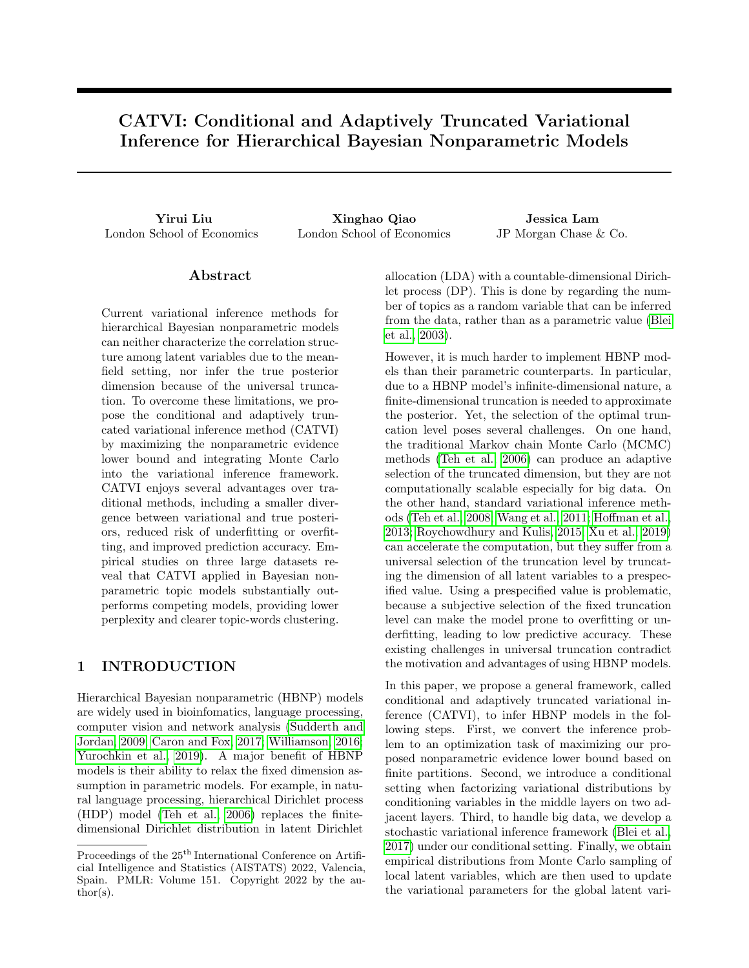# CATVI: Conditional and Adaptively Truncated Variational Inference for Hierarchical Bayesian Nonparametric Models

London School of Economics London School of Economics JP Morgan Chase & Co.

Yirui Liu Xinghao Qiao Jessica Lam

## Abstract

Current variational inference methods for hierarchical Bayesian nonparametric models can neither characterize the correlation structure among latent variables due to the meanfield setting, nor infer the true posterior dimension because of the universal truncation. To overcome these limitations, we propose the conditional and adaptively truncated variational inference method (CATVI) by maximizing the nonparametric evidence lower bound and integrating Monte Carlo into the variational inference framework. CATVI enjoys several advantages over traditional methods, including a smaller divergence between variational and true posteriors, reduced risk of underfitting or overfitting, and improved prediction accuracy. Empirical studies on three large datasets reveal that CATVI applied in Bayesian nonparametric topic models substantially outperforms competing models, providing lower perplexity and clearer topic-words clustering.

# 1 INTRODUCTION

Hierarchical Bayesian nonparametric (HBNP) models are widely used in bioinfomatics, language processing, computer vision and network analysis [\(Sudderth and](#page-8-0) [Jordan, 2009;](#page-8-0) [Caron and Fox, 2017;](#page-8-1) [Williamson, 2016;](#page-9-0) [Yurochkin et al., 2019\)](#page-9-1). A major benefit of HBNP models is their ability to relax the fixed dimension assumption in parametric models. For example, in natural language processing, hierarchical Dirichlet process (HDP) model [\(Teh et al., 2006\)](#page-8-2) replaces the finitedimensional Dirichlet distribution in latent Dirichlet allocation (LDA) with a countable-dimensional Dirichlet process (DP). This is done by regarding the number of topics as a random variable that can be inferred from the data, rather than as a parametric value [\(Blei](#page-8-3) [et al., 2003\)](#page-8-3).

However, it is much harder to implement HBNP models than their parametric counterparts. In particular, due to a HBNP model's infinite-dimensional nature, a finite-dimensional truncation is needed to approximate the posterior. Yet, the selection of the optimal truncation level poses several challenges. On one hand, the traditional Markov chain Monte Carlo (MCMC) methods [\(Teh et al., 2006\)](#page-8-2) can produce an adaptive selection of the truncated dimension, but they are not computationally scalable especially for big data. On the other hand, standard variational inference methods [\(Teh et al., 2008;](#page-8-4) [Wang et al., 2011;](#page-9-2) [Hoffman et al.,](#page-8-5) [2013;](#page-8-5) [Roychowdhury and Kulis, 2015;](#page-8-6) [Xu et al., 2019\)](#page-9-3) can accelerate the computation, but they suffer from a universal selection of the truncation level by truncating the dimension of all latent variables to a prespecified value. Using a prespecified value is problematic, because a subjective selection of the fixed truncation level can make the model prone to overfitting or underfitting, leading to low predictive accuracy. These existing challenges in universal truncation contradict the motivation and advantages of using HBNP models.

In this paper, we propose a general framework, called conditional and adaptively truncated variational inference (CATVI), to infer HBNP models in the following steps. First, we convert the inference problem to an optimization task of maximizing our proposed nonparametric evidence lower bound based on finite partitions. Second, we introduce a conditional setting when factorizing variational distributions by conditioning variables in the middle layers on two adjacent layers. Third, to handle big data, we develop a stochastic variational inference framework [\(Blei et al.,](#page-8-7) [2017\)](#page-8-7) under our conditional setting. Finally, we obtain empirical distributions from Monte Carlo sampling of local latent variables, which are then used to update the variational parameters for the global latent vari-

Proceedings of the  $25<sup>th</sup>$  International Conference on Artificial Intelligence and Statistics (AISTATS) 2022, Valencia, Spain. PMLR: Volume 151. Copyright 2022 by the au- $\text{thor}(s)$ .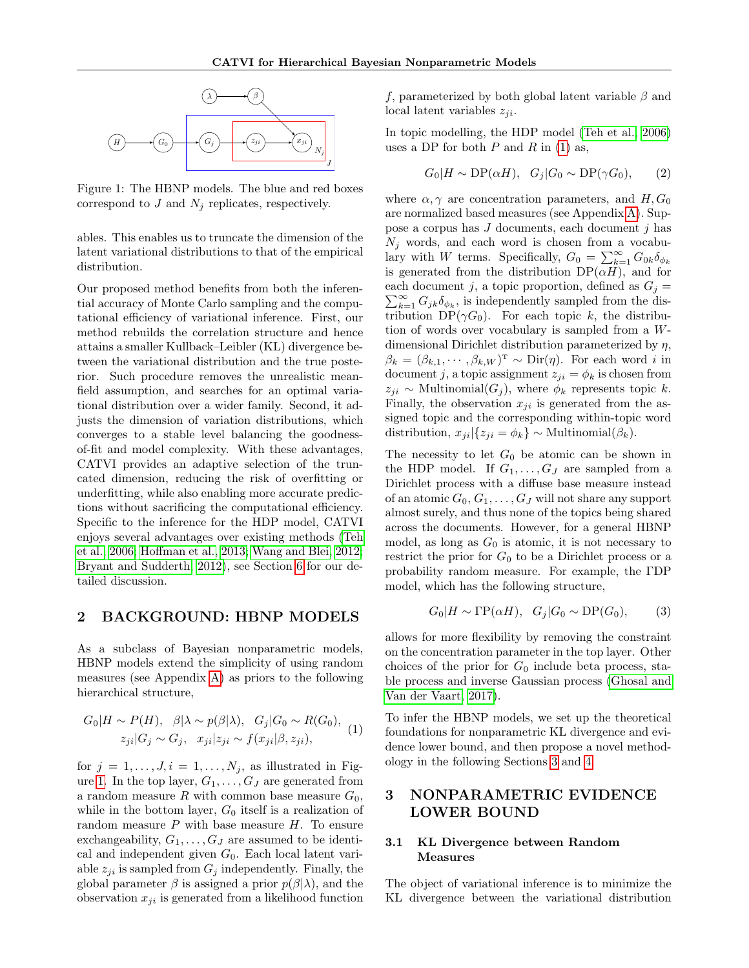<span id="page-1-0"></span>

Figure 1: The HBNP models. The blue and red boxes correspond to  $J$  and  $N_i$  replicates, respectively.

ables. This enables us to truncate the dimension of the latent variational distributions to that of the empirical distribution.

Our proposed method benefits from both the inferential accuracy of Monte Carlo sampling and the computational efficiency of variational inference. First, our method rebuilds the correlation structure and hence attains a smaller Kullback–Leibler (KL) divergence between the variational distribution and the true posterior. Such procedure removes the unrealistic meanfield assumption, and searches for an optimal variational distribution over a wider family. Second, it adjusts the dimension of variation distributions, which converges to a stable level balancing the goodnessof-fit and model complexity. With these advantages, CATVI provides an adaptive selection of the truncated dimension, reducing the risk of overfitting or underfitting, while also enabling more accurate predictions without sacrificing the computational efficiency. Specific to the inference for the HDP model, CATVI enjoys several advantages over existing methods [\(Teh](#page-8-2) [et al., 2006;](#page-8-2) [Hoffman et al., 2013;](#page-8-5) [Wang and Blei, 2012;](#page-9-4) [Bryant and Sudderth, 2012\)](#page-8-8), see Section [6](#page-5-0) for our detailed discussion.

### 2 BACKGROUND: HBNP MODELS

As a subclass of Bayesian nonparametric models, HBNP models extend the simplicity of using random measures (see Appendix [A\)](#page-10-0) as priors to the following hierarchical structure,

<span id="page-1-1"></span>
$$
G_0|H \sim P(H), \quad \beta|\lambda \sim p(\beta|\lambda), \quad G_j|G_0 \sim R(G_0),
$$
  

$$
z_{ji}|G_j \sim G_j, \quad x_{ji}|z_{ji} \sim f(x_{ji}|\beta, z_{ji}),
$$
 (1)

for  $j = 1, \ldots, J, i = 1, \ldots, N_j$ , as illustrated in Fig-ure [1.](#page-1-0) In the top layer,  $G_1, \ldots, G_J$  are generated from a random measure R with common base measure  $G_0$ , while in the bottom layer,  $G_0$  itself is a realization of random measure  $P$  with base measure  $H$ . To ensure exchangeability,  $G_1, \ldots, G_J$  are assumed to be identical and independent given  $G_0$ . Each local latent variable  $z_{ji}$  is sampled from  $G_j$  independently. Finally, the global parameter  $\beta$  is assigned a prior  $p(\beta|\lambda)$ , and the observation  $x_{ji}$  is generated from a likelihood function

f, parameterized by both global latent variable  $\beta$  and local latent variables  $z_{ii}$ .

In topic modelling, the HDP model [\(Teh et al., 2006\)](#page-8-2) uses a DP for both  $P$  and  $R$  in [\(1\)](#page-1-1) as,

$$
G_0|H \sim \text{DP}(\alpha H), \quad G_j|G_0 \sim \text{DP}(\gamma G_0), \tag{2}
$$

where  $\alpha, \gamma$  are concentration parameters, and  $H, G_0$ are normalized based measures (see Appendix [A\)](#page-10-0). Suppose a corpus has  $J$  documents, each document  $j$  has  $N_i$  words, and each word is chosen from a vocabulary with W terms. Specifically,  $G_0 = \sum_{k=1}^{\infty} G_{0k} \delta_{\phi_k}$ is generated from the distribution  $DP(\alpha H)$ , and for  $\sum_{k=1}^{\infty} G_{jk} \delta_{\phi_k}$ , is independently sampled from the diseach document j, a topic proportion, defined as  $G_j =$ tribution  $DP(\gamma G_0)$ . For each topic k, the distribution of words over vocabulary is sampled from a Wdimensional Dirichlet distribution parameterized by η,  $\beta_k = (\beta_{k,1}, \cdots, \beta_{k,W})^{\mathrm{T}} \sim \mathrm{Dir}(\eta)$ . For each word i in document j, a topic assignment  $z_{ji} = \phi_k$  is chosen from  $z_{ji} \sim \text{Multinomial}(G_i)$ , where  $\phi_k$  represents topic k. Finally, the observation  $x_{ji}$  is generated from the assigned topic and the corresponding within-topic word distribution,  $x_{ji}|\{z_{ji} = \phi_k\} \sim \text{Multinomial}(\beta_k).$ 

The necessity to let  $G_0$  be atomic can be shown in the HDP model. If  $G_1, \ldots, G_J$  are sampled from a Dirichlet process with a diffuse base measure instead of an atomic  $G_0, G_1, \ldots, G_J$  will not share any support almost surely, and thus none of the topics being shared across the documents. However, for a general HBNP model, as long as  $G_0$  is atomic, it is not necessary to restrict the prior for  $G_0$  to be a Dirichlet process or a probability random measure. For example, the ΓDP model, which has the following structure,

$$
G_0|H \sim \Gamma \mathcal{P}(\alpha H), \quad G_j|G_0 \sim \mathcal{D}\mathcal{P}(G_0), \tag{3}
$$

allows for more flexibility by removing the constraint on the concentration parameter in the top layer. Other choices of the prior for  $G_0$  include beta process, stable process and inverse Gaussian process [\(Ghosal and](#page-8-9) [Van der Vaart, 2017\)](#page-8-9).

To infer the HBNP models, we set up the theoretical foundations for nonparametric KL divergence and evidence lower bound, and then propose a novel methodology in the following Sections [3](#page-1-2) and [4.](#page-2-0)

# <span id="page-1-2"></span>3 NONPARAMETRIC EVIDENCE LOWER BOUND

### 3.1 KL Divergence between Random Measures

The object of variational inference is to minimize the KL divergence between the variational distribution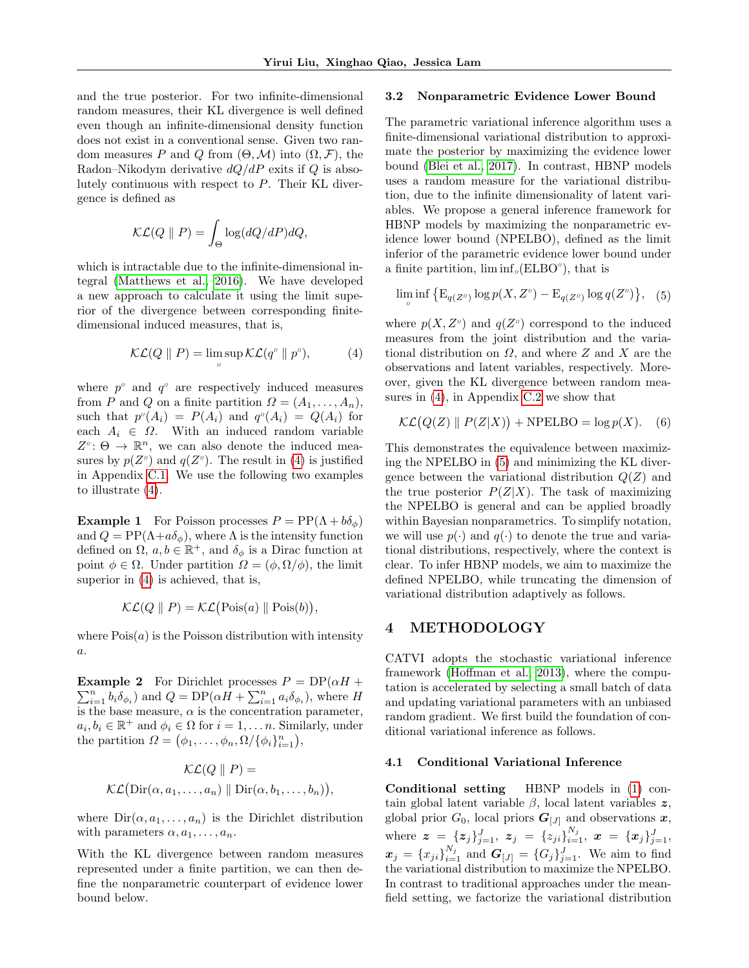and the true posterior. For two infinite-dimensional random measures, their KL divergence is well defined even though an infinite-dimensional density function does not exist in a conventional sense. Given two random measures P and Q from  $(\Theta, \mathcal{M})$  into  $(\Omega, \mathcal{F})$ , the Radon–Nikodym derivative  $dQ/dP$  exits if Q is absolutely continuous with respect to P. Their KL divergence is defined as

$$
\mathcal{KL}(Q \parallel P) = \int_{\Theta} \log(dQ/dP)dQ,
$$

which is intractable due to the infinite-dimensional integral [\(Matthews et al., 2016\)](#page-8-10). We have developed a new approach to calculate it using the limit superior of the divergence between corresponding finitedimensional induced measures, that is,

Ω

<span id="page-2-1"></span>
$$
\mathcal{KL}(Q \parallel P) = \limsup \mathcal{KL}(q^a \parallel p^a), \tag{4}
$$

where  $p^{\alpha}$  and  $q^{\alpha}$  are respectively induced measures from P and Q on a finite partition  $\Omega = (A_1, \ldots, A_n)$ , such that  $p^{\alpha}(A_i) = P(A_i)$  and  $q^{\alpha}(A_i) = Q(A_i)$  for each  $A_i \in \Omega$ . With an induced random variable  $Z^{\alpha}$ :  $\Theta \to \mathbb{R}^{n}$ , we can also denote the induced measures by  $p(Z^{\alpha})$  and  $q(Z^{\alpha})$ . The result in [\(4\)](#page-2-1) is justified in Appendix [C.1.](#page-12-0) We use the following two examples to illustrate [\(4\)](#page-2-1).

**Example 1** For Poisson processes  $P = PP(\Lambda + b\delta_{\phi})$ and  $Q = PP(\Lambda + a\delta_{\phi})$ , where  $\Lambda$  is the intensity function defined on  $\Omega$ ,  $a, b \in \mathbb{R}^+$ , and  $\delta_{\phi}$  is a Dirac function at point  $\phi \in \Omega$ . Under partition  $\Omega = (\phi, \Omega/\phi)$ , the limit superior in [\(4\)](#page-2-1) is achieved, that is,

$$
\mathcal{KL}(Q \parallel P) = \mathcal{KL}(\text{Pois}(a) \parallel \text{Pois}(b)),
$$

where  $Pois(a)$  is the Poisson distribution with intensity a.

 $\sum_{i=1}^{n} b_i \delta_{\phi_i}$  and  $Q = DP(\alpha \vec{H} + \sum_{i=1}^{n} a_i \delta_{\phi_i})$ , where H **Example 2** For Dirichlet processes  $P = DP(\alpha H +$ is the base measure,  $\alpha$  is the concentration parameter,  $a_i, b_i \in \mathbb{R}^+$  and  $\phi_i \in \Omega$  for  $i = 1, \ldots n$ . Similarly, under the partition  $\Omega = (\phi_1, \ldots, \phi_n, \Omega / {\{\phi_i\}}_{i=1}^n),$ 

$$
\mathcal{KL}(Q \parallel P) =
$$
  

$$
\mathcal{KL}(\text{Dir}(\alpha, a_1, \dots, a_n) \parallel \text{Dir}(\alpha, b_1, \dots, b_n)),
$$

where  $Dir(\alpha, a_1, \ldots, a_n)$  is the Dirichlet distribution with parameters  $\alpha, a_1, \ldots, a_n$ .

With the KL divergence between random measures represented under a finite partition, we can then define the nonparametric counterpart of evidence lower bound below.

#### 3.2 Nonparametric Evidence Lower Bound

The parametric variational inference algorithm uses a finite-dimensional variational distribution to approximate the posterior by maximizing the evidence lower bound [\(Blei et al., 2017\)](#page-8-7). In contrast, HBNP models uses a random measure for the variational distribution, due to the infinite dimensionality of latent variables. We propose a general inference framework for HBNP models by maximizing the nonparametric evidence lower bound (NPELBO), defined as the limit inferior of the parametric evidence lower bound under a finite partition,  $\liminf_{a}$  (ELBO<sup>*a*</sup>), that is

<span id="page-2-2"></span>
$$
\liminf_{n} \left\{ \mathrm{E}_{q(Z^n)} \log p(X, Z^n) - \mathrm{E}_{q(Z^n)} \log q(Z^n) \right\}, \quad (5)
$$

where  $p(X, Z^{\alpha})$  and  $q(Z^{\alpha})$  correspond to the induced measures from the joint distribution and the variational distribution on  $\Omega$ , and where Z and X are the observations and latent variables, respectively. Moreover, given the KL divergence between random measures in [\(4\)](#page-2-1), in Appendix [C.2](#page-12-1) we show that

<span id="page-2-3"></span>
$$
\mathcal{KL}(Q(Z) \parallel P(Z|X)) + \text{NPELBO} = \log p(X). \quad (6)
$$

This demonstrates the equivalence between maximizing the NPELBO in [\(5\)](#page-2-2) and minimizing the KL divergence between the variational distribution  $Q(Z)$  and the true posterior  $P(Z|X)$ . The task of maximizing the NPELBO is general and can be applied broadly within Bayesian nonparametrics. To simplify notation, we will use  $p(\cdot)$  and  $q(\cdot)$  to denote the true and variational distributions, respectively, where the context is clear. To infer HBNP models, we aim to maximize the defined NPELBO, while truncating the dimension of variational distribution adaptively as follows.

## <span id="page-2-0"></span>4 METHODOLOGY

CATVI adopts the stochastic variational inference framework [\(Hoffman et al., 2013\)](#page-8-5), where the computation is accelerated by selecting a small batch of data and updating variational parameters with an unbiased random gradient. We first build the foundation of conditional variational inference as follows.

#### 4.1 Conditional Variational Inference

Conditional setting HBNP models in [\(1\)](#page-1-1) contain global latent variable  $\beta$ , local latent variables z, global prior  $G_0$ , local priors  $G_{[J]}$  and observations x, where  $\bm{z} \ = \ \{\bm{z}_j\}_{j=1}^J, \ \bm{z}_j \ = \ \{z_{ji}\}_{i=1}^{N_j}, \ \bm{x} \ = \ \{\bm{x}_j\}_{j=1}^J,$  $\mathbf{x}_j = \{x_{ji}\}_{i=1}^{N_j}$  and  $\mathbf{G}_{[J]} = \{G_j\}_{j=1}^J$ . We aim to find the variational distribution to maximize the NPELBO. In contrast to traditional approaches under the meanfield setting, we factorize the variational distribution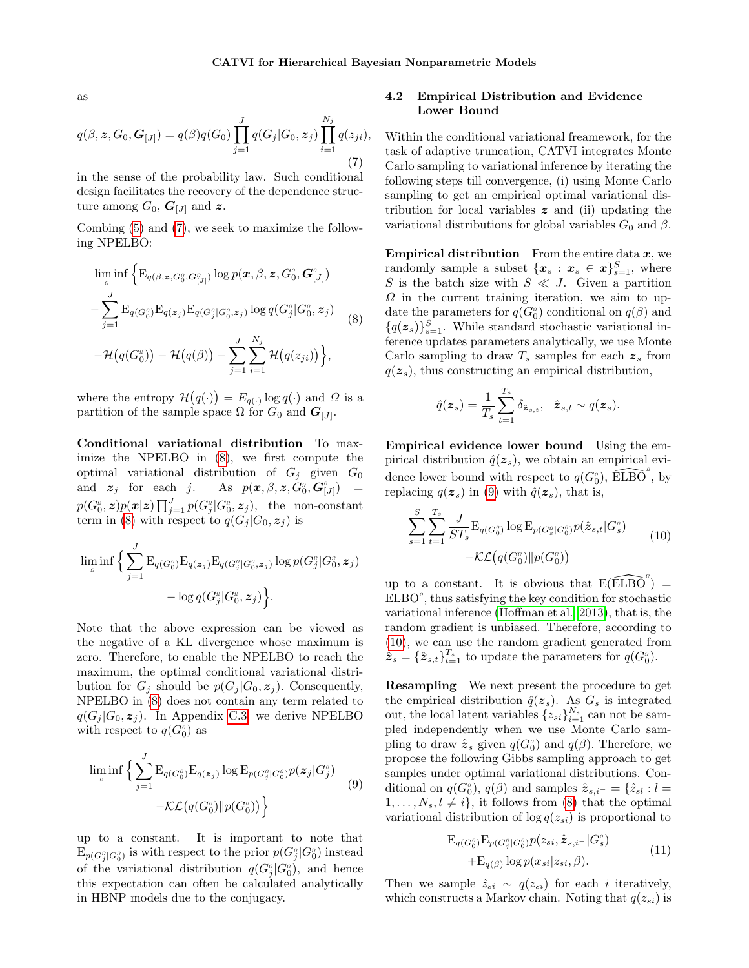as

<span id="page-3-0"></span>
$$
q(\beta, \mathbf{z}, G_0, \mathbf{G}_{[J]}) = q(\beta)q(G_0) \prod_{j=1}^J q(G_j|G_0, \mathbf{z}_j) \prod_{i=1}^{N_j} q(z_{ji}),
$$
\n(7)

in the sense of the probability law. Such conditional design facilitates the recovery of the dependence structure among  $G_0$ ,  $G_{[J]}$  and z.

Combing [\(5\)](#page-2-2) and [\(7\)](#page-3-0), we seek to maximize the following NPELBO:

<span id="page-3-1"></span>
$$
\lim_{\substack{\beta}} \inf \Big\{ \mathbf{E}_{q(\beta, \boldsymbol{z}, G_0^{\beta}, \mathbf{G}_{[J]}^{\alpha})} \log p(\boldsymbol{x}, \beta, \boldsymbol{z}, G_0^{\alpha}, \mathbf{G}_{[J]}^{\alpha}) \n- \sum_{j=1}^{J} \mathbf{E}_{q(G_0^{\beta})} \mathbf{E}_{q(\boldsymbol{z}_j)} \mathbf{E}_{q(G_j^{\alpha}|G_0^{\alpha}, \boldsymbol{z}_j)} \log q(G_j^{\alpha}|G_0^{\alpha}, \boldsymbol{z}_j) \n- \mathcal{H}(q(G_0^{\alpha})) - \mathcal{H}(q(\beta)) - \sum_{j=1}^{J} \sum_{i=1}^{N_j} \mathcal{H}(q(z_{ji})) \Big\},
$$
\n(8)

where the entropy  $\mathcal{H}(q(\cdot)) = E_{q(\cdot)} \log q(\cdot)$  and  $\Omega$  is a partition of the sample space  $\Omega$  for  $G_0$  and  $\mathbf{G}_{[J]}$ .

Conditional variational distribution To maximize the NPELBO in [\(8\)](#page-3-1), we first compute the optimal variational distribution of  $G_i$  given  $G_0$ and  $z_j$  for each j.  $_{0}^{a},\bm{G}_{\left[ J\right] }^{a})\quad =% \begin{bmatrix} \cos\theta & \cos\theta\ \cos\theta & \cos\theta\ \cos\theta & \cos\theta\ \cos\theta & \cos\theta\ \cos\theta & \cos\theta\ \cos\theta & \cos\theta\ \cos\theta & \cos\theta\ \cos\theta & \cos\theta\ \cos\theta & \cos\theta\ \cos\theta & \cos\theta\ \cos\theta & \cos\theta\ \cos\theta & \cos\theta\ \cos\theta & \cos\theta\ \cos\theta & \cos\theta\ \cos\theta & \cos\theta\ \cos\theta & \cos\theta\ \cos\theta & \cos\theta\ \cos\theta & \cos\theta\ \cos\theta & \cos\$  $p(G_0^a,\boldsymbol{z})p(\boldsymbol{x}|\boldsymbol{z})\prod_{j=1}^J p(G_j^a|G_0^a,\boldsymbol{z}_j),\;\;\text{the \; non-constant}$ term in [\(8\)](#page-3-1) with respect to  $q(G_j | G_0, z_j)$  is

$$
\lim_{a} \inf \Big\{ \sum_{j=1}^{J} \textup{E}_{q(G^{a}_{0})} \textup{E}_{q(\bm{z}_{j})} \textup{E}_{q(G^{a}_{j}|G^{a}_{0},\bm{z}_{j})} \log p(G^{a}_{j}|G^{a}_{0},\bm{z}_{j}) - \log q(G^{a}_{j}|G^{a}_{0},\bm{z}_{j}) \Big\}.
$$

Note that the above expression can be viewed as the negative of a KL divergence whose maximum is zero. Therefore, to enable the NPELBO to reach the maximum, the optimal conditional variational distribution for  $G_i$  should be  $p(G_i | G_0, z_i)$ . Consequently, NPELBO in [\(8\)](#page-3-1) does not contain any term related to  $q(G_i | G_0, z_i)$ . In Appendix [C.3,](#page-13-0) we derive NPELBO with respect to  $q(G_0^a)$  as

<span id="page-3-2"></span>
$$
\lim_{\substack{\rho \\ n}} \inf \Big\{ \sum_{j=1}^{J} \mathrm{E}_{q(G_0^{\rho})} \mathrm{E}_{q(\boldsymbol{z}_j)} \log \mathrm{E}_{p(G_j^{\rho}|G_0^{\rho})} p(\boldsymbol{z}_j|G_j^{\rho}) \Big\} - \mathcal{KL}\big(q(G_0^{\rho}) \| p(G_0^{\rho})\big) \Big\} \tag{9}
$$

up to a constant. It is important to note that  $\mathbb{E}_{p(G_j^o|G_0^o)}$  is with respect to the prior  $p(G_j^o|G_0^o)$  instead of the variational distribution  $q(G_j^{\alpha}|G_0^{\alpha})$ , and hence this expectation can often be calculated analytically in HBNP models due to the conjugacy.

### 4.2 Empirical Distribution and Evidence Lower Bound

Within the conditional variational freamework, for the task of adaptive truncation, CATVI integrates Monte Carlo sampling to variational inference by iterating the following steps till convergence, (i) using Monte Carlo sampling to get an empirical optimal variational distribution for local variables  $z$  and (ii) updating the variational distributions for global variables  $G_0$  and  $\beta$ .

**Empirical distribution** From the entire data  $x$ , we randomly sample a subset  $\{\boldsymbol{x}_s : \boldsymbol{x}_s \in \boldsymbol{x}\}_{s=1}^S$ , where S is the batch size with  $S \ll J$ . Given a partition  $\Omega$  in the current training iteration, we aim to update the parameters for  $q(G_0^a)$  conditional on  $q(\beta)$  and  ${q(\mathbf{z}_s)}_{s=1}^S$ . While standard stochastic variational inference updates parameters analytically, we use Monte Carlo sampling to draw  $T_s$  samples for each  $z_s$  from  $q(z_s)$ , thus constructing an empirical distribution,

$$
\hat{q}(\boldsymbol{z}_s) = \frac{1}{T_s} \sum_{t=1}^{T_s} \delta_{\hat{\boldsymbol{z}}_{s,t}}, \ \ \hat{\boldsymbol{z}}_{s,t} \sim q(\boldsymbol{z}_s).
$$

Empirical evidence lower bound Using the empirical distribution  $\hat{q}(z_s)$ , we obtain an empirical evidence lower bound with respect to  $q(G_0^o)$ ,  $\widehat{\mathrm{ELBO}}^o$ , by replacing  $q(z_s)$  in [\(9\)](#page-3-2) with  $\hat{q}(z_s)$ , that is,

<span id="page-3-3"></span>
$$
\sum_{s=1}^{S} \sum_{t=1}^{T_s} \frac{J}{ST_s} \mathcal{E}_{q(G_0^a)} \log \mathcal{E}_{p(G_s^a | G_0^a)} p(\hat{\mathbf{z}}_{s,t} | G_s^a) - \mathcal{KL}(q(G_0^a) \| p(G_0^a)) \tag{10}
$$

up to a constant. It is obvious that  $E(\widehat{\rm ELBO}^{\alpha}) =$  $ELBO<sup>o</sup>$ , thus satisfying the key condition for stochastic variational inference [\(Hoffman et al., 2013\)](#page-8-5), that is, the random gradient is unbiased. Therefore, according to [\(10\)](#page-3-3), we can use the random gradient generated from  $\hat{\mathbf{z}}_s = \{\hat{\mathbf{z}}_{s,t}\}_{t=1}^{T_s}$  to update the parameters for  $q(G_0^o)$ .

Resampling We next present the procedure to get the empirical distribution  $\hat{q}(z_s)$ . As  $G_s$  is integrated out, the local latent variables  $\{z_{si}\}_{i=1}^{N_s}$  can not be sampled independently when we use Monte Carlo sampling to draw  $\hat{z}_s$  given  $q(G_0^a)$  and  $q(\beta)$ . Therefore, we propose the following Gibbs sampling approach to get samples under optimal variational distributions. Conditional on  $q(G_0^a)$ ,  $q(\beta)$  and samples  $\hat{\mathbf{z}}_{s,i^-} = \{ \hat{z}_{sl} : l =$  $1, \ldots, N_s, l \neq i$ , it follows from [\(8\)](#page-3-1) that the optimal variational distribution of  $\log q(z_{si})$  is proportional to

<span id="page-3-4"></span>
$$
E_{q(G_0^a)}E_{p(G_j^a|G_0^a)}p(z_{si},\hat{\mathbf{z}}_{s,i-}|G_s^a) + E_{q(\beta)}\log p(x_{si}|z_{si},\beta).
$$
\n
$$
(11)
$$

Then we sample  $\hat{z}_{si} \sim q(z_{si})$  for each *i* iteratively, which constructs a Markov chain. Noting that  $q(z_{si})$  is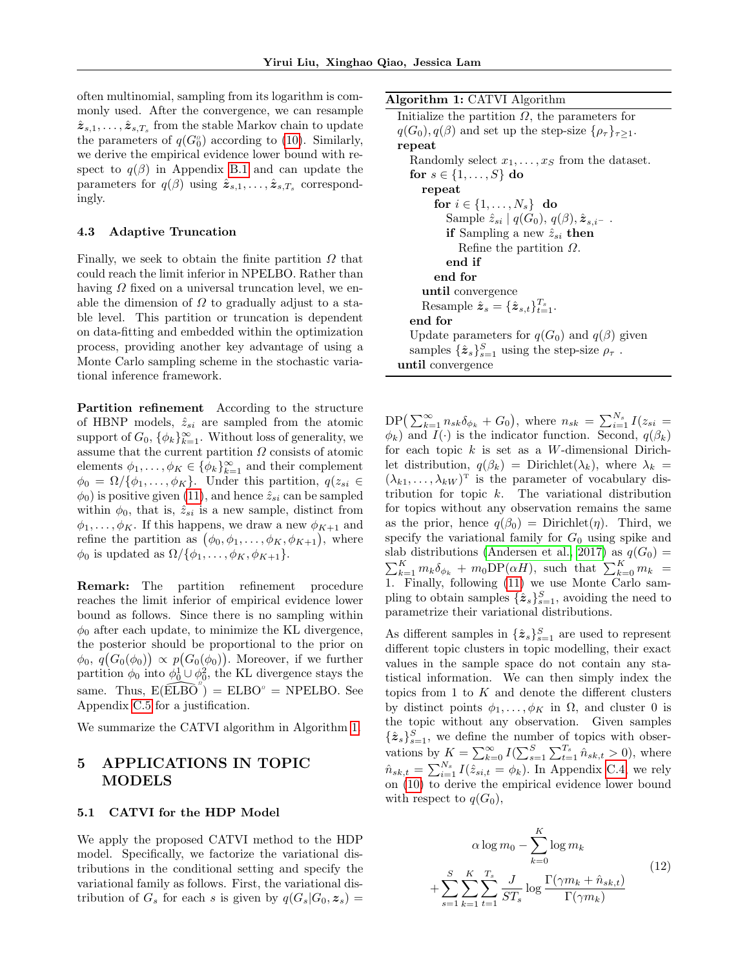often multinomial, sampling from its logarithm is commonly used. After the convergence, we can resample  $\hat{\pmb{z}}_{s,1},\ldots,\hat{\pmb{z}}_{s,T_s}$  from the stable Markov chain to update the parameters of  $q(G_0^{\circ})$  according to [\(10\)](#page-3-3). Similarly, we derive the empirical evidence lower bound with respect to  $q(\beta)$  in Appendix [B.1](#page-10-1) and can update the parameters for  $q(\beta)$  using  $\hat{\boldsymbol{z}}_{s,1}, \ldots, \hat{\boldsymbol{z}}_{s,T_s}$  correspondingly.

#### <span id="page-4-3"></span>4.3 Adaptive Truncation

Finally, we seek to obtain the finite partition  $\Omega$  that could reach the limit inferior in NPELBO. Rather than having  $\Omega$  fixed on a universal truncation level, we enable the dimension of  $\Omega$  to gradually adjust to a stable level. This partition or truncation is dependent on data-fitting and embedded within the optimization process, providing another key advantage of using a Monte Carlo sampling scheme in the stochastic variational inference framework.

Partition refinement According to the structure of HBNP models,  $\hat{z}_{si}$  are sampled from the atomic support of  $G_0$ ,  $\{\phi_k\}_{k=1}^{\infty}$ . Without loss of generality, we assume that the current partition  $\Omega$  consists of atomic elements  $\phi_1, \ldots, \phi_K \in {\{\phi_k\}}_{k=1}^{\infty}$  and their complement  $\phi_0 = \Omega / {\phi_1, \ldots, \phi_K}$ . Under this partition,  $q(z_{si} \in$  $\phi_0$ ) is positive given [\(11\)](#page-3-4), and hence  $\hat{z}_{si}$  can be sampled within  $\phi_0$ , that is,  $\hat{z}_{si}$  is a new sample, distinct from  $\phi_1, \ldots, \phi_K$ . If this happens, we draw a new  $\phi_{K+1}$  and refine the partition as  $(\phi_0, \phi_1, \dots, \phi_K, \phi_{K+1}),$  where  $\phi_0$  is updated as  $\Omega/\{\phi_1,\ldots,\phi_K,\phi_{K+1}\}.$ 

Remark: The partition refinement procedure reaches the limit inferior of empirical evidence lower bound as follows. Since there is no sampling within  $\phi_0$  after each update, to minimize the KL divergence, the posterior should be proportional to the prior on  $\phi_0, q(G_0(\phi_0)) \propto p(G_0(\phi_0)).$  Moreover, if we further partition  $\phi_0$  into  $\phi_0^1 \cup \phi_0^2$ , the KL divergence stays the same. Thus,  $E(\widetilde{ELBO}^{\alpha}) = ELBO^{\alpha} = NPELBO$ . See Appendix [C.5](#page-13-1) for a justification.

We summarize the CATVI algorithm in Algorithm [1.](#page-4-0)

# 5 APPLICATIONS IN TOPIC MODELS

#### <span id="page-4-2"></span>5.1 CATVI for the HDP Model

We apply the proposed CATVI method to the HDP model. Specifically, we factorize the variational distributions in the conditional setting and specify the variational family as follows. First, the variational distribution of  $G_s$  for each s is given by  $q(G_s|G_0, z_s) =$  Algorithm 1: CATVI Algorithm

<span id="page-4-0"></span>Initialize the partition  $\Omega$ , the parameters for  $q(G_0), q(\beta)$  and set up the step-size  $\{\rho_\tau\}_{\tau>1}$ . repeat Randomly select  $x_1, \ldots, x_S$  from the dataset. for  $s \in \{1, \ldots, S\}$  do repeat for  $i \in \{1, \ldots, N_s\}$  do Sample  $\hat{z}_{si} | q(G_0), q(\beta), \hat{z}_{s,i^-}$ . if Sampling a new  $\hat{z}_{si}$  then Refine the partition  $\Omega$ . end if end for until convergence Resample  $\hat{\mathbf{z}}_s = {\{\hat{\mathbf{z}}_{s,t}\}}_{t=1}^{T_s}$ . end for Update parameters for  $q(G_0)$  and  $q(\beta)$  given samples  $\{\hat{\pmb{z}}_s\}_{s=1}^S$  using the step-size  $\rho_{\tau}$ . until convergence

 $DP\left(\sum_{k=1}^{\infty} n_{sk}\delta_{\phi_k} + G_0\right)$ , where  $n_{sk} = \sum_{i=1}^{N_s} I(z_{si} =$  $\phi_k$ ) and  $I(\cdot)$  is the indicator function. Second,  $q(\beta_k)$ for each topic  $k$  is set as a W-dimensional Dirichlet distribution,  $q(\beta_k)$  = Dirichlet( $\lambda_k$ ), where  $\lambda_k$  =  $(\lambda_{k1}, \ldots, \lambda_{kW})^T$  is the parameter of vocabulary distribution for topic k. The variational distribution for topics without any observation remains the same as the prior, hence  $q(\beta_0) = \text{Dirichlet}(\eta)$ . Third, we specify the variational family for  $G_0$  using spike and slab distributions [\(Andersen et al., 2017\)](#page-8-11) as  $q(G_0)$  =  $\sum_{k=1}^K m_k \delta_{\phi_k} + m_0 \text{DP}(\alpha H)$ , such that  $\sum_{k=0}^K m_k =$ 1. Finally, following [\(11\)](#page-3-4) we use Monte Carlo sampling to obtain samples  $\{\hat{\mathbf{z}}_s\}_{s=1}^S$ , avoiding the need to parametrize their variational distributions.

As different samples in  $\{\hat{\mathbf{z}}_s\}_{s=1}^S$  are used to represent different topic clusters in topic modelling, their exact values in the sample space do not contain any statistical information. We can then simply index the topics from 1 to  $K$  and denote the different clusters by distinct points  $\phi_1, \ldots, \phi_K$  in  $\Omega$ , and cluster 0 is the topic without any observation. Given samples  $\{\hat{\mathbf{z}}_s\}_{s=1}^S$ , we define the number of topics with observations by  $K = \sum_{k=0}^{\infty} I(\sum_{s=1}^{S} \sum_{t=1}^{T_s} \hat{n}_{sk,t} > 0)$ , where  $\hat{n}_{sk,t} = \sum_{i=1}^{N_s} I(\hat{z}_{si,t} = \phi_k)$ . In Appendix [C.4,](#page-13-2) we rely on [\(10\)](#page-3-3) to derive the empirical evidence lower bound with respect to  $q(G_0)$ ,

<span id="page-4-1"></span>
$$
\alpha \log m_0 - \sum_{k=0}^{K} \log m_k
$$
  
+ 
$$
\sum_{s=1}^{S} \sum_{k=1}^{K} \sum_{t=1}^{T_s} \frac{J}{ST_s} \log \frac{\Gamma(\gamma m_k + \hat{n}_{sk,t})}{\Gamma(\gamma m_k)}
$$
(12)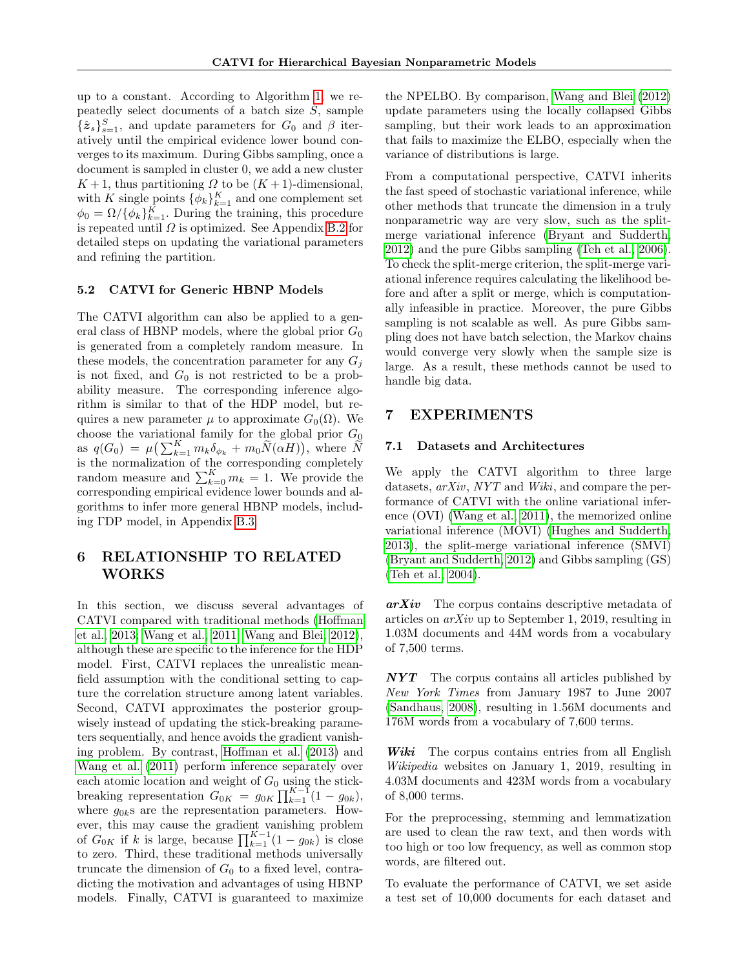up to a constant. According to Algorithm [1,](#page-4-0) we repeatedly select documents of a batch size  $S$ , sample  $\{\hat{\boldsymbol{z}}_s\}_{s=1}^S$ , and update parameters for  $G_0$  and  $\beta$  iteratively until the empirical evidence lower bound converges to its maximum. During Gibbs sampling, once a document is sampled in cluster 0, we add a new cluster  $K+1$ , thus partitioning  $\Omega$  to be  $(K+1)$ -dimensional, with K single points  $\{\phi_k\}_{k=1}^K$  and one complement set  $\phi_0 = \Omega / {\{\phi_k\}}_{k=1}^K$ . During the training, this procedure is repeated until  $\Omega$  is optimized. See Appendix [B.2](#page-11-0) for detailed steps on updating the variational parameters and refining the partition.

#### 5.2 CATVI for Generic HBNP Models

The CATVI algorithm can also be applied to a general class of HBNP models, where the global prior  $G_0$ is generated from a completely random measure. In these models, the concentration parameter for any  $G_i$ is not fixed, and  $G_0$  is not restricted to be a probability measure. The corresponding inference algorithm is similar to that of the HDP model, but requires a new parameter  $\mu$  to approximate  $G_0(\Omega)$ . We choose the variational family for the global prior  $G_0$ as  $q(G_0) = \mu \left( \sum_{k=1}^K m_k \delta_{\phi_k} + m_0 \widetilde{N}(\alpha H) \right)$ , where  $\widetilde{N}$ is the normalization of the corresponding completely random measure and  $\sum_{k=0}^{K} m_k = 1$ . We provide the corresponding empirical evidence lower bounds and algorithms to infer more general HBNP models, including ΓDP model, in Appendix [B.3.](#page-11-1)

# <span id="page-5-0"></span>6 RELATIONSHIP TO RELATED WORKS

In this section, we discuss several advantages of CATVI compared with traditional methods [\(Hoffman](#page-8-5) [et al., 2013;](#page-8-5) [Wang et al., 2011;](#page-9-2) [Wang and Blei, 2012\)](#page-9-4), although these are specific to the inference for the HDP model. First, CATVI replaces the unrealistic meanfield assumption with the conditional setting to capture the correlation structure among latent variables. Second, CATVI approximates the posterior groupwisely instead of updating the stick-breaking parameters sequentially, and hence avoids the gradient vanishing problem. By contrast, [Hoffman et al. \(2013\)](#page-8-5) and [Wang et al. \(2011\)](#page-9-2) perform inference separately over each atomic location and weight of  $G_0$  using the stickbreaking representation  $G_{0K} = g_{0K} \prod_{k=1}^{K-1} (1 - g_{0k}),$ where  $g_{0k}$ s are the representation parameters. However, this may cause the gradient vanishing problem of  $G_{0K}$  if k is large, because  $\prod_{k=1}^{K-1} (1 - g_{0k})$  is close to zero. Third, these traditional methods universally truncate the dimension of  $G_0$  to a fixed level, contradicting the motivation and advantages of using HBNP models. Finally, CATVI is guaranteed to maximize

the NPELBO. By comparison, [Wang and Blei \(2012\)](#page-9-4) update parameters using the locally collapsed Gibbs sampling, but their work leads to an approximation that fails to maximize the ELBO, especially when the variance of distributions is large.

From a computational perspective, CATVI inherits the fast speed of stochastic variational inference, while other methods that truncate the dimension in a truly nonparametric way are very slow, such as the splitmerge variational inference [\(Bryant and Sudderth,](#page-8-8) [2012\)](#page-8-8) and the pure Gibbs sampling [\(Teh et al., 2006\)](#page-8-2). To check the split-merge criterion, the split-merge variational inference requires calculating the likelihood before and after a split or merge, which is computationally infeasible in practice. Moreover, the pure Gibbs sampling is not scalable as well. As pure Gibbs sampling does not have batch selection, the Markov chains would converge very slowly when the sample size is large. As a result, these methods cannot be used to handle big data.

### 7 EXPERIMENTS

#### 7.1 Datasets and Architectures

We apply the CATVI algorithm to three large datasets, arXiv, NYT and Wiki, and compare the performance of CATVI with the online variational inference (OVI) [\(Wang et al., 2011\)](#page-9-2), the memorized online variational inference (MOVI) [\(Hughes and Sudderth,](#page-8-12) [2013\)](#page-8-12), the split-merge variational inference (SMVI) [\(Bryant and Sudderth, 2012\)](#page-8-8) and Gibbs sampling (GS) [\(Teh et al., 2004\)](#page-8-13).

 $arXiv$  The corpus contains descriptive metadata of articles on arXiv up to September 1, 2019, resulting in 1.03M documents and 44M words from a vocabulary of 7,500 terms.

 $NYT$  The corpus contains all articles published by New York Times from January 1987 to June 2007 [\(Sandhaus, 2008\)](#page-8-14), resulting in 1.56M documents and 176M words from a vocabulary of 7,600 terms.

Wiki The corpus contains entries from all English Wikipedia websites on January 1, 2019, resulting in 4.03M documents and 423M words from a vocabulary of 8,000 terms.

For the preprocessing, stemming and lemmatization are used to clean the raw text, and then words with too high or too low frequency, as well as common stop words, are filtered out.

To evaluate the performance of CATVI, we set aside a test set of 10,000 documents for each dataset and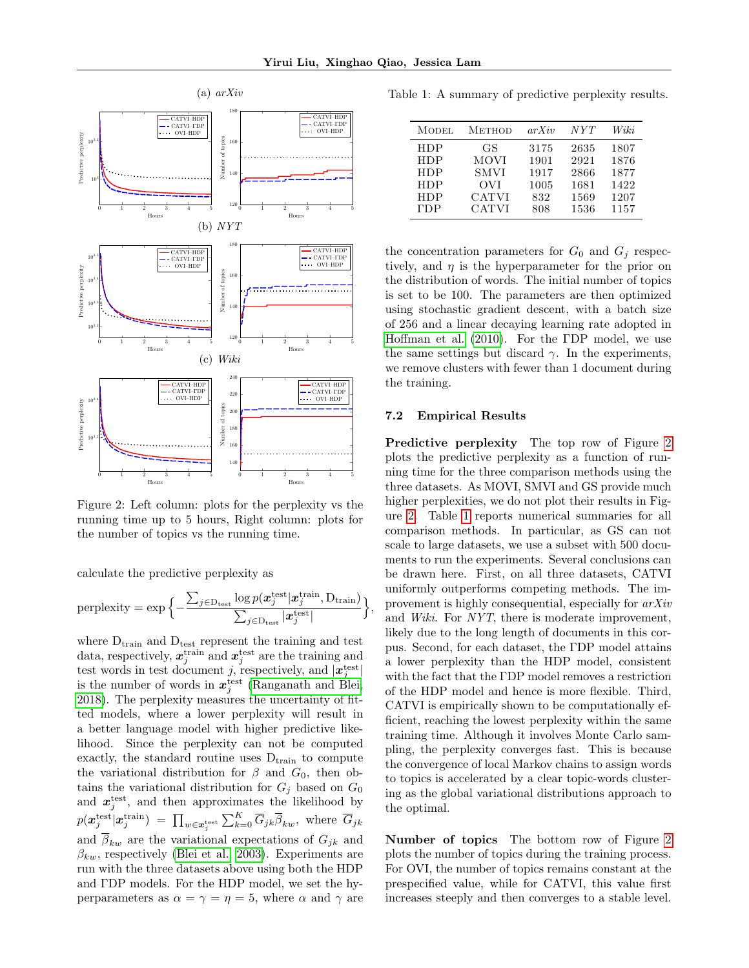,

<span id="page-6-0"></span>

Figure 2: Left column: plots for the perplexity vs the running time up to 5 hours, Right column: plots for the number of topics vs the running time.

calculate the predictive perplexity as

$$
\text{perplexity} = \exp\Big\{-\frac{\sum_{j \in \text{D}_{\text{test}}} \log p(\boldsymbol{x}^{\text{test}}_j | \boldsymbol{x}^{\text{train}}_j, \text{D}_{\text{train}})}{\sum_{j \in \text{D}_{\text{test}}} |\boldsymbol{x}^{\text{test}}_j|}\Big\}
$$

where  $D_{\text{train}}$  and  $D_{\text{test}}$  represent the training and test data, respectively,  $\mathbf{x}_j^{\text{train}}$  and  $\mathbf{x}_j^{\text{test}}$  are the training and test words in test document j, respectively, and  $|\mathbf{x}_j^{\text{test}}|$ is the number of words in  $x_j^{\text{test}}$  [\(Ranganath and Blei,](#page-8-15) [2018\)](#page-8-15). The perplexity measures the uncertainty of fitted models, where a lower perplexity will result in a better language model with higher predictive likelihood. Since the perplexity can not be computed exactly, the standard routine uses  $D_{train}$  to compute the variational distribution for  $\beta$  and  $G_0$ , then obtains the variational distribution for  $G_j$  based on  $G_0$ and  $x_j^{\text{test}}$ , and then approximates the likelihood by  $p(\boldsymbol{x}^{\text{test}}_j|\boldsymbol{x}^{\text{train}}_j) \;=\; \prod_{w\in\boldsymbol{x}^{\text{test}}_j} \sum_{k=0}^K \overline{G}_{jk}\overline{\beta}_{kw}, \text{ where } \overline{G}_{jk}$ and  $\overline{\beta}_{kw}$  are the variational expectations of  $G_{jk}$  and  $\beta_{kw}$ , respectively [\(Blei et al., 2003\)](#page-8-3). Experiments are run with the three datasets above using both the HDP and ΓDP models. For the HDP model, we set the hyperparameters as  $\alpha = \gamma = \eta = 5$ , where  $\alpha$  and  $\gamma$  are

<span id="page-6-1"></span>Table 1: A summary of predictive perplexity results.

| <b>MODEL</b> | <b>METHOD</b> | arXiv | NYT  | Wiki |
|--------------|---------------|-------|------|------|
| <b>HDP</b>   | GS.           | 3175  | 2635 | 1807 |
| <b>HDP</b>   | MOVI          | 1901  | 2921 | 1876 |
| <b>HDP</b>   | <b>SMVI</b>   | 1917  | 2866 | 1877 |
| <b>HDP</b>   | OVI           | 1005  | 1681 | 1422 |
| <b>HDP</b>   | <b>CATVI</b>  | 832   | 1569 | 1207 |
| <b>TDP</b>   | <b>CATVI</b>  | 808   | 1536 | 1157 |

the concentration parameters for  $G_0$  and  $G_i$  respectively, and  $\eta$  is the hyperparameter for the prior on the distribution of words. The initial number of topics is set to be 100. The parameters are then optimized using stochastic gradient descent, with a batch size of 256 and a linear decaying learning rate adopted in [Hoffman et al. \(2010\)](#page-8-16). For the ΓDP model, we use the same settings but discard  $\gamma$ . In the experiments, we remove clusters with fewer than 1 document during the training.

#### 7.2 Empirical Results

Predictive perplexity The top row of Figure [2](#page-6-0) plots the predictive perplexity as a function of running time for the three comparison methods using the three datasets. As MOVI, SMVI and GS provide much higher perplexities, we do not plot their results in Figure [2.](#page-6-0) Table [1](#page-6-1) reports numerical summaries for all comparison methods. In particular, as GS can not scale to large datasets, we use a subset with 500 documents to run the experiments. Several conclusions can be drawn here. First, on all three datasets, CATVI uniformly outperforms competing methods. The improvement is highly consequential, especially for arXiv and Wiki. For NYT, there is moderate improvement, likely due to the long length of documents in this corpus. Second, for each dataset, the ΓDP model attains a lower perplexity than the HDP model, consistent with the fact that the ΓDP model removes a restriction of the HDP model and hence is more flexible. Third, CATVI is empirically shown to be computationally efficient, reaching the lowest perplexity within the same training time. Although it involves Monte Carlo sampling, the perplexity converges fast. This is because the convergence of local Markov chains to assign words to topics is accelerated by a clear topic-words clustering as the global variational distributions approach to the optimal.

Number of topics The bottom row of Figure [2](#page-6-0) plots the number of topics during the training process. For OVI, the number of topics remains constant at the prespecified value, while for CATVI, this value first increases steeply and then converges to a stable level.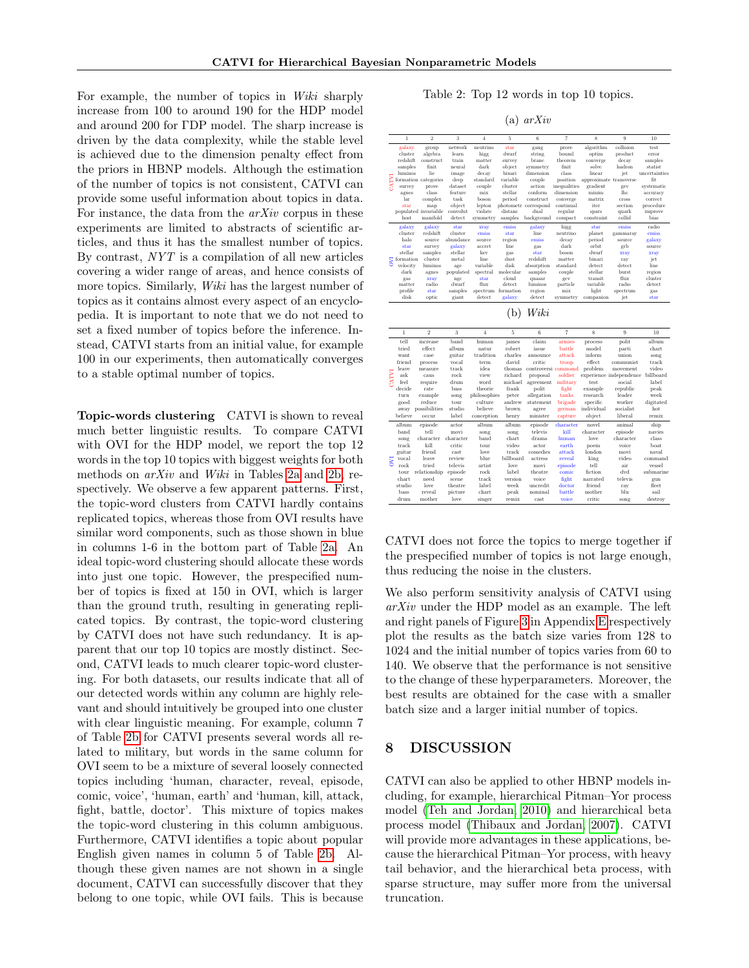For example, the number of topics in Wiki sharply increase from 100 to around 190 for the HDP model and around 200 for ΓDP model. The sharp increase is driven by the data complexity, while the stable level is achieved due to the dimension penalty effect from the priors in HBNP models. Although the estimation of the number of topics is not consistent, CATVI can provide some useful information about topics in data. For instance, the data from the  $arXiv$  corpus in these experiments are limited to abstracts of scientific articles, and thus it has the smallest number of topics. By contrast, NYT is a compilation of all new articles covering a wider range of areas, and hence consists of more topics. Similarly, *Wiki* has the largest number of topics as it contains almost every aspect of an encyclopedia. It is important to note that we do not need to set a fixed number of topics before the inference. Instead, CATVI starts from an initial value, for example 100 in our experiments, then automatically converges to a stable optimal number of topics.

Topic-words clustering CATVI is shown to reveal much better linguistic results. To compare CATVI with OVI for the HDP model, we report the top 12 words in the top 10 topics with biggest weights for both methods on arXiv and Wiki in Tables [2a](#page-7-0) and [2b,](#page-7-0) respectively. We observe a few apparent patterns. First, the topic-word clusters from CATVI hardly contains replicated topics, whereas those from OVI results have similar word components, such as those shown in blue in columns 1-6 in the bottom part of Table [2a.](#page-7-0) An ideal topic-word clustering should allocate these words into just one topic. However, the prespecified number of topics is fixed at 150 in OVI, which is larger than the ground truth, resulting in generating replicated topics. By contrast, the topic-word clustering by CATVI does not have such redundancy. It is apparent that our top 10 topics are mostly distinct. Second, CATVI leads to much clearer topic-word clustering. For both datasets, our results indicate that all of our detected words within any column are highly relevant and should intuitively be grouped into one cluster with clear linguistic meaning. For example, column 7 of Table [2b](#page-7-0) for CATVI presents several words all related to military, but words in the same column for OVI seem to be a mixture of several loosely connected topics including 'human, character, reveal, episode, comic, voice', 'human, earth' and 'human, kill, attack, fight, battle, doctor'. This mixture of topics makes the topic-word clustering in this column ambiguous. Furthermore, CATVI identifies a topic about popular English given names in column 5 of Table [2b.](#page-7-0) Although these given names are not shown in a single document, CATVI can successfully discover that they belong to one topic, while OVI fails. This is because

<span id="page-7-0"></span>

| Table 2: Top 12 words in top 10 topics. |  |  |  |  |  |  |  |
|-----------------------------------------|--|--|--|--|--|--|--|
|-----------------------------------------|--|--|--|--|--|--|--|

| я. | arXiv |
|----|-------|
|    |       |

|      | 1                    | $\mathcal{D}$        | 3         | $\overline{4}$ | 5         | 6                    | $\overline{7}$ | 8                      | 9         | 10            |
|------|----------------------|----------------------|-----------|----------------|-----------|----------------------|----------------|------------------------|-----------|---------------|
|      | galaxy               | group                | network   | neutrino       | star      | gaug                 | prove          | algorithm              | collision | test          |
|      | cluster              | algebra              | learn     | higg           | dwarf     | string               | bound          | optim                  | product   | error         |
|      | redshift             | construct.           | train     | matter         | survey    | hrane                | theorem        | converge               | decay     | samples       |
|      | samples              | finit.               | neural    | dark           | object    | symmetry             | finit          | solve                  | hadron    | statist       |
|      | luminos              | lie                  | image     | decay          | binari    | dimension            | class          | linear                 | jet       | uncertainties |
| ENLY |                      | formation categories | deep      | standard       | variable  | couple               | position       | approximate transverse |           | fit.          |
|      | survey               | prove                | dataset   | couple         | cluster   | action               | inequalities   | gradient               | gev       | systematic    |
|      | agnes                | class                | feature   | mix            | stellar   | conform              | dimension      | minim                  | lhc       | accuracy      |
|      | lar                  | complex              | task      | boson          | period    | construct            | converge       | matrix                 | cross     | correct.      |
|      | star                 | map                  | object    | lepton         |           | photometr correspond | continual      | iter                   | section   | procedure     |
|      | populated invariable |                      | convolut  | violate        | distanc   | dual                 | regular        | spars                  | quark     | improve       |
|      | host                 | manifold             | detect    | symmetry       | samples   | background           | compact        | constraint             | collid    | bias          |
|      | galaxy               | galaxy               | star      | xray           | emiss     | galaxy               | higg           | star                   | emiss     | radio         |
|      | cluster              | redshift.            | cluster   | emiss          | star      | line                 | neutrino       | planet                 | gammaray  | emiss         |
|      | halo                 | source               | abundance | source         | region    | emiss                | decay          | period                 | source    | galaxy        |
|      | star                 | survey               | galaxy    | accret         | line      | gas                  | dark           | orbit                  | grb       | source        |
|      | stellar              | samples              | stellar   | kev            | gas       | star                 | boson          | dwarf                  | xray      | xray          |
| ā    | formation            | cluster              | metal     | line           | dust      | redshift             | matter         | binari                 | ray       | jet           |
|      | velocity             | luminos              | age       | variable       | disk      | absorption           | standard       | detect                 | detect    | line          |
|      | dark                 | agnes                | populated | spectral       | molecular | samples              | couple         | stellar                | burst     | region        |
|      | gas                  | xray                 | ngc       | star           | cloud     | quasar               | gev            | transit                | flux      | cluster       |
|      | matter               | radio                | dwarf     | flux           | detect    | luminos              | particle       | variable               | radio     | detect        |
|      | profile              | star                 | samples   | spectrum       | formation | region               | mix            | light                  | spectrum  | gas           |
|      | disk                 | optic                | giant     | detect         | galaxy    | detect               | symmetry       | companion              | jet       | star          |

| b) | Wiki |
|----|------|
|    |      |

|              | 1       | $\overline{2}$ | 3         | $\overline{4}$ | 5         | 6                   | $\overline{7}$ | 8          | 9                       | 10 <sup>°</sup> |
|--------------|---------|----------------|-----------|----------------|-----------|---------------------|----------------|------------|-------------------------|-----------------|
|              | tell    | increase       | hand      | human          | iames     | claim               | armies         | process    | polit                   | album           |
|              | tried   | effect.        | album     | natur          | robert.   | issue               | battle         | model      | parti                   | chart           |
|              | want    | case           | guitar    | tradition      | charles   | announce            | attack         | inform     | union                   | song            |
|              | friend  | process        | vocal     | term           | david     | critic              | troop          | effect     | communist               | track           |
|              | leave   | measure        | track     | idea           | thomas    | controversi command |                | problem    | movement                | video           |
|              | ask     | caus           | rock      | view           | richard   | proposal            | soldier        |            | experience independence | billboard       |
| <b>IMLNI</b> | feel    | require        | drum      | word           | michael   | agreement           | military       | test.      | social                  | label           |
|              | decide  | rate           | hass      | theorie        | frank     | polit               | fight          | example    | republic                | peak            |
|              | turn    | example        | song      | philosophies   | peter     | allegation          | tanks          | research   | leader                  | week            |
|              | good    | reduce         | tour      | culture        | andrew    | statement           | brigade        | specific   | worker                  | digitated       |
|              | away    | possibilities  | studio    | believe        | brown     | agree               | german         | individual | socialist               | hot             |
|              | believe | occur          | label     | conception     | henry     | minister            | capture        | object     | liberal                 | remix           |
|              | album   | episode        | actor     | album          | album     | episode             | character      | novel      | animal                  | ship            |
|              | band    | tell           | movi      | song           | song      | televis             | kill           | character  | episode                 | navies          |
|              | song    | character      | character | band           | chart     | drama               | human          | love       | character               | class           |
|              | track   | kill           | critic    | tour           | video     | actor               | earth          | poem       | voice                   | <b>boat</b>     |
|              | guitar  | friend         | cast.     | love           | track     | comedies            | attack         | london     | movi                    | naval           |
| ā            | vocal   | leave          | review    | blue           | billboard | actress             | reveal         | king       | video                   | command         |
|              | rock    | tried          | televis   | artist.        | love      | movi                | episode        | tell       | air                     | vessel          |
|              | tour    | relationship   | episode   | rock           | label     | theatre             | comic          | fiction    | dvd                     | submarine       |
|              | chart   | need           | scene     | track          | version   | voice               | fight          | narrated   | televis                 | gun             |
|              | studio  | love           | theatre   | label          | week      | uncredit            | doctor         | friend     | rav                     | fleet.          |
|              | bass    | reveal         | picture   | chart          | peak      | nominal             | battle         | mother     | hlu                     | sail            |
|              | drum    | mother         | love      | singer         | remix     | cast                | voice          | critic     | song                    | destroy         |

CATVI does not force the topics to merge together if the prespecified number of topics is not large enough, thus reducing the noise in the clusters.

We also perform sensitivity analysis of CATVI using arXiv under the HDP model as an example. The left and right panels of Figure [3](#page-15-0) in Appendix [E](#page-15-1) respectively plot the results as the batch size varies from 128 to 1024 and the initial number of topics varies from 60 to 140. We observe that the performance is not sensitive to the change of these hyperparameters. Moreover, the best results are obtained for the case with a smaller batch size and a larger initial number of topics.

### 8 DISCUSSION

CATVI can also be applied to other HBNP models including, for example, hierarchical Pitman–Yor process model [\(Teh and Jordan, 2010\)](#page-8-17) and hierarchical beta process model [\(Thibaux and Jordan, 2007\)](#page-8-18). CATVI will provide more advantages in these applications, because the hierarchical Pitman–Yor process, with heavy tail behavior, and the hierarchical beta process, with sparse structure, may suffer more from the universal truncation.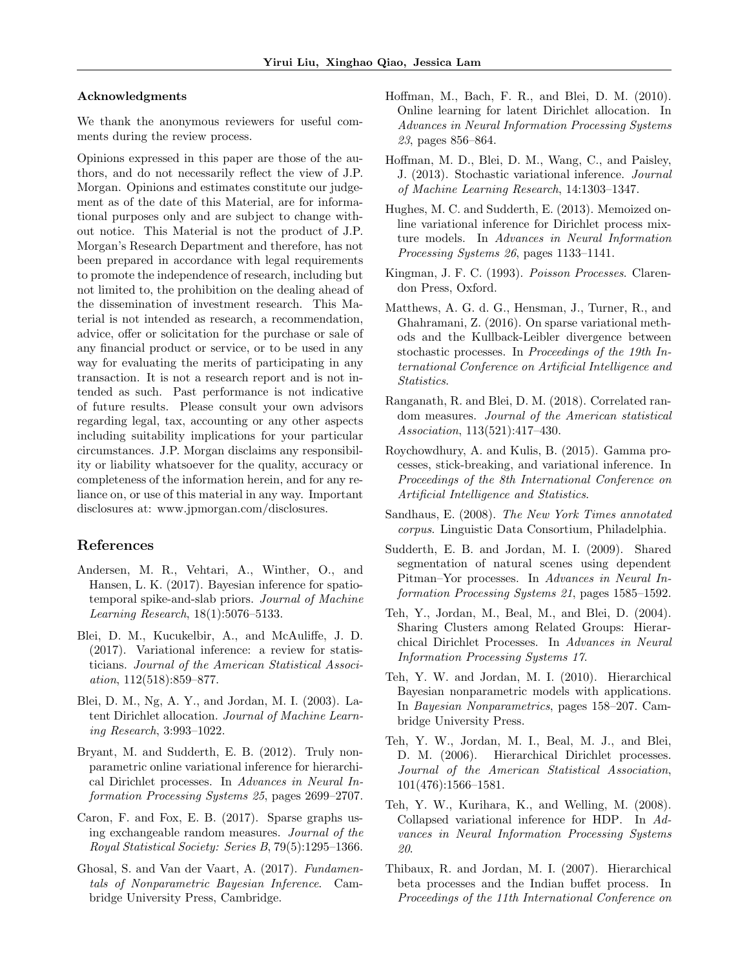#### Acknowledgments

We thank the anonymous reviewers for useful comments during the review process.

Opinions expressed in this paper are those of the authors, and do not necessarily reflect the view of J.P. Morgan. Opinions and estimates constitute our judgement as of the date of this Material, are for informational purposes only and are subject to change without notice. This Material is not the product of J.P. Morgan's Research Department and therefore, has not been prepared in accordance with legal requirements to promote the independence of research, including but not limited to, the prohibition on the dealing ahead of the dissemination of investment research. This Material is not intended as research, a recommendation, advice, offer or solicitation for the purchase or sale of any financial product or service, or to be used in any way for evaluating the merits of participating in any transaction. It is not a research report and is not intended as such. Past performance is not indicative of future results. Please consult your own advisors regarding legal, tax, accounting or any other aspects including suitability implications for your particular circumstances. J.P. Morgan disclaims any responsibility or liability whatsoever for the quality, accuracy or completeness of the information herein, and for any reliance on, or use of this material in any way. Important disclosures at: www.jpmorgan.com/disclosures.

## References

- <span id="page-8-11"></span>Andersen, M. R., Vehtari, A., Winther, O., and Hansen, L. K. (2017). Bayesian inference for spatiotemporal spike-and-slab priors. Journal of Machine Learning Research, 18(1):5076–5133.
- <span id="page-8-7"></span>Blei, D. M., Kucukelbir, A., and McAuliffe, J. D. (2017). Variational inference: a review for statisticians. Journal of the American Statistical Association, 112(518):859–877.
- <span id="page-8-3"></span>Blei, D. M., Ng, A. Y., and Jordan, M. I. (2003). Latent Dirichlet allocation. Journal of Machine Learning Research, 3:993–1022.
- <span id="page-8-8"></span>Bryant, M. and Sudderth, E. B. (2012). Truly nonparametric online variational inference for hierarchical Dirichlet processes. In Advances in Neural Information Processing Systems 25, pages 2699–2707.
- <span id="page-8-1"></span>Caron, F. and Fox, E. B. (2017). Sparse graphs using exchangeable random measures. Journal of the Royal Statistical Society: Series B, 79(5):1295–1366.
- <span id="page-8-9"></span>Ghosal, S. and Van der Vaart, A. (2017). Fundamentals of Nonparametric Bayesian Inference. Cambridge University Press, Cambridge.
- <span id="page-8-16"></span>Hoffman, M., Bach, F. R., and Blei, D. M. (2010). Online learning for latent Dirichlet allocation. In Advances in Neural Information Processing Systems 23, pages 856–864.
- <span id="page-8-5"></span>Hoffman, M. D., Blei, D. M., Wang, C., and Paisley, J. (2013). Stochastic variational inference. Journal of Machine Learning Research, 14:1303–1347.
- <span id="page-8-12"></span>Hughes, M. C. and Sudderth, E. (2013). Memoized online variational inference for Dirichlet process mixture models. In Advances in Neural Information Processing Systems 26, pages 1133–1141.
- <span id="page-8-19"></span>Kingman, J. F. C. (1993). Poisson Processes. Clarendon Press, Oxford.
- <span id="page-8-10"></span>Matthews, A. G. d. G., Hensman, J., Turner, R., and Ghahramani, Z. (2016). On sparse variational methods and the Kullback-Leibler divergence between stochastic processes. In Proceedings of the 19th International Conference on Artificial Intelligence and Statistics.
- <span id="page-8-15"></span>Ranganath, R. and Blei, D. M. (2018). Correlated random measures. Journal of the American statistical Association, 113(521):417–430.
- <span id="page-8-6"></span>Roychowdhury, A. and Kulis, B. (2015). Gamma processes, stick-breaking, and variational inference. In Proceedings of the 8th International Conference on Artificial Intelligence and Statistics.
- <span id="page-8-14"></span>Sandhaus, E. (2008). The New York Times annotated corpus. Linguistic Data Consortium, Philadelphia.
- <span id="page-8-0"></span>Sudderth, E. B. and Jordan, M. I. (2009). Shared segmentation of natural scenes using dependent Pitman–Yor processes. In Advances in Neural Information Processing Systems 21, pages 1585–1592.
- <span id="page-8-13"></span>Teh, Y., Jordan, M., Beal, M., and Blei, D. (2004). Sharing Clusters among Related Groups: Hierarchical Dirichlet Processes. In Advances in Neural Information Processing Systems 17.
- <span id="page-8-17"></span>Teh, Y. W. and Jordan, M. I. (2010). Hierarchical Bayesian nonparametric models with applications. In Bayesian Nonparametrics, pages 158–207. Cambridge University Press.
- <span id="page-8-2"></span>Teh, Y. W., Jordan, M. I., Beal, M. J., and Blei, D. M. (2006). Hierarchical Dirichlet processes. Journal of the American Statistical Association, 101(476):1566–1581.
- <span id="page-8-4"></span>Teh, Y. W., Kurihara, K., and Welling, M. (2008). Collapsed variational inference for HDP. In Advances in Neural Information Processing Systems 20.
- <span id="page-8-18"></span>Thibaux, R. and Jordan, M. I. (2007). Hierarchical beta processes and the Indian buffet process. In Proceedings of the 11th International Conference on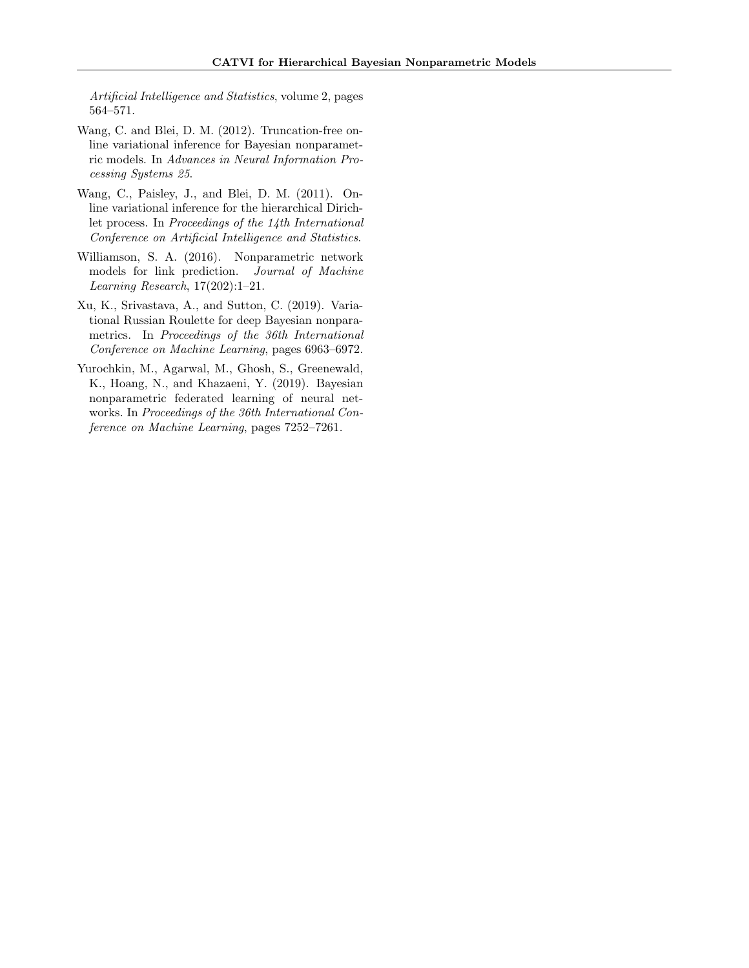Artificial Intelligence and Statistics, volume 2, pages 564–571.

- <span id="page-9-4"></span>Wang, C. and Blei, D. M. (2012). Truncation-free online variational inference for Bayesian nonparametric models. In Advances in Neural Information Processing Systems 25.
- <span id="page-9-2"></span>Wang, C., Paisley, J., and Blei, D. M. (2011). Online variational inference for the hierarchical Dirichlet process. In Proceedings of the 14th International Conference on Artificial Intelligence and Statistics.
- <span id="page-9-0"></span>Williamson, S. A. (2016). Nonparametric network models for link prediction. Journal of Machine Learning Research, 17(202):1–21.
- <span id="page-9-3"></span>Xu, K., Srivastava, A., and Sutton, C. (2019). Variational Russian Roulette for deep Bayesian nonparametrics. In Proceedings of the 36th International Conference on Machine Learning, pages 6963–6972.
- <span id="page-9-1"></span>Yurochkin, M., Agarwal, M., Ghosh, S., Greenewald, K., Hoang, N., and Khazaeni, Y. (2019). Bayesian nonparametric federated learning of neural networks. In Proceedings of the 36th International Conference on Machine Learning, pages 7252–7261.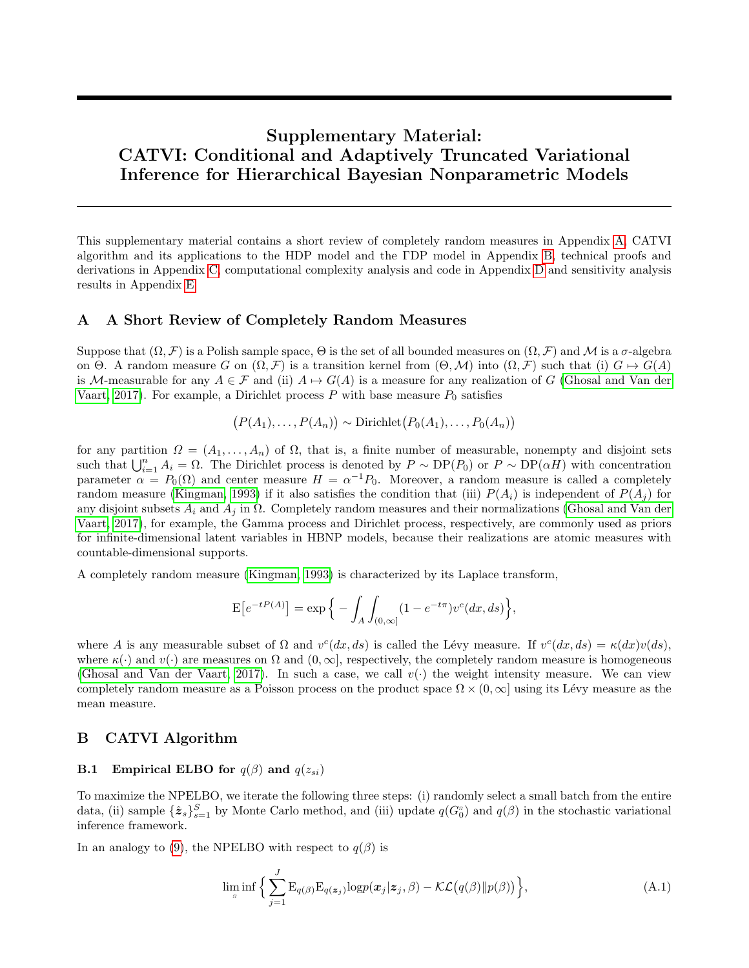# Supplementary Material: CATVI: Conditional and Adaptively Truncated Variational Inference for Hierarchical Bayesian Nonparametric Models

This supplementary material contains a short review of completely random measures in Appendix [A,](#page-10-0) CATVI algorithm and its applications to the HDP model and the ΓDP model in Appendix [B,](#page-10-2) technical proofs and derivations in Appendix [C,](#page-12-2) computational complexity analysis and code in Appendix [D](#page-15-2) and sensitivity analysis results in Appendix [E.](#page-15-1)

### <span id="page-10-0"></span>A A Short Review of Completely Random Measures

Suppose that  $(\Omega, \mathcal{F})$  is a Polish sample space,  $\Theta$  is the set of all bounded measures on  $(\Omega, \mathcal{F})$  and M is a  $\sigma$ -algebra on Θ. A random measure G on  $(\Omega, \mathcal{F})$  is a transition kernel from  $(\Theta, \mathcal{M})$  into  $(\Omega, \mathcal{F})$  such that (i)  $G \mapsto G(A)$ is M-measurable for any  $A \in \mathcal{F}$  and (ii)  $A \mapsto G(A)$  is a measure for any realization of G [\(Ghosal and Van der](#page-8-9) [Vaart, 2017\)](#page-8-9). For example, a Dirichlet process  $P$  with base measure  $P_0$  satisfies

$$
(P(A_1),...,P(A_n)) \sim \text{Dirichlet}(P_0(A_1),...,P_0(A_n))
$$

for any partition  $\Omega = (A_1, \ldots, A_n)$  of  $\Omega$ , that is, a finite number of measurable, nonempty and disjoint sets such that  $\bigcup_{i=1}^n A_i = \Omega$ . The Dirichlet process is denoted by  $P \sim DP(P_0)$  or  $P \sim DP(\alpha H)$  with concentration parameter  $\alpha = P_0(\Omega)$  and center measure  $H = \alpha^{-1}P_0$ . Moreover, a random measure is called a completely random measure [\(Kingman, 1993\)](#page-8-19) if it also satisfies the condition that (iii)  $P(A_i)$  is independent of  $P(A_i)$  for any disjoint subsets  $A_i$  and  $A_j$  in  $\Omega$ . Completely random measures and their normalizations [\(Ghosal and Van der](#page-8-9) [Vaart, 2017\)](#page-8-9), for example, the Gamma process and Dirichlet process, respectively, are commonly used as priors for infinite-dimensional latent variables in HBNP models, because their realizations are atomic measures with countable-dimensional supports.

A completely random measure [\(Kingman, 1993\)](#page-8-19) is characterized by its Laplace transform,

$$
E[e^{-tP(A)}] = \exp \Big\{ - \int_A \int_{(0,\infty]} (1 - e^{-t\pi}) v^c(dx, ds) \Big\},\,
$$

where A is any measurable subset of  $\Omega$  and  $v^c(dx, ds)$  is called the Lévy measure. If  $v^c(dx, ds) = \kappa(dx)v(ds)$ , where  $\kappa(\cdot)$  and  $v(\cdot)$  are measures on  $\Omega$  and  $(0,\infty]$ , respectively, the completely random measure is homogeneous [\(Ghosal and Van der Vaart, 2017\)](#page-8-9). In such a case, we call  $v(\cdot)$  the weight intensity measure. We can view completely random measure as a Poisson process on the product space  $\Omega \times (0, \infty]$  using its Lévy measure as the mean measure.

## <span id="page-10-2"></span>B CATVI Algorithm

### <span id="page-10-1"></span>**B.1** Empirical ELBO for  $q(\beta)$  and  $q(z_{si})$

To maximize the NPELBO, we iterate the following three steps: (i) randomly select a small batch from the entire data, (ii) sample  $\{\hat{\mathbf{z}}_s\}_{s=1}^S$  by Monte Carlo method, and (iii) update  $q(G_0^a)$  and  $q(\beta)$  in the stochastic variational inference framework.

In an analogy to [\(9\)](#page-3-2), the NPELBO with respect to  $q(\beta)$  is

<span id="page-10-3"></span>
$$
\lim_{\rho} \inf \Big\{ \sum_{j=1}^{J} \mathcal{E}_{q(\beta)} \mathcal{E}_{q(\boldsymbol{z}_j)} \log p(\boldsymbol{x}_j | \boldsymbol{z}_j, \beta) - \mathcal{KL}(q(\beta) || p(\beta)) \Big\},\tag{A.1}
$$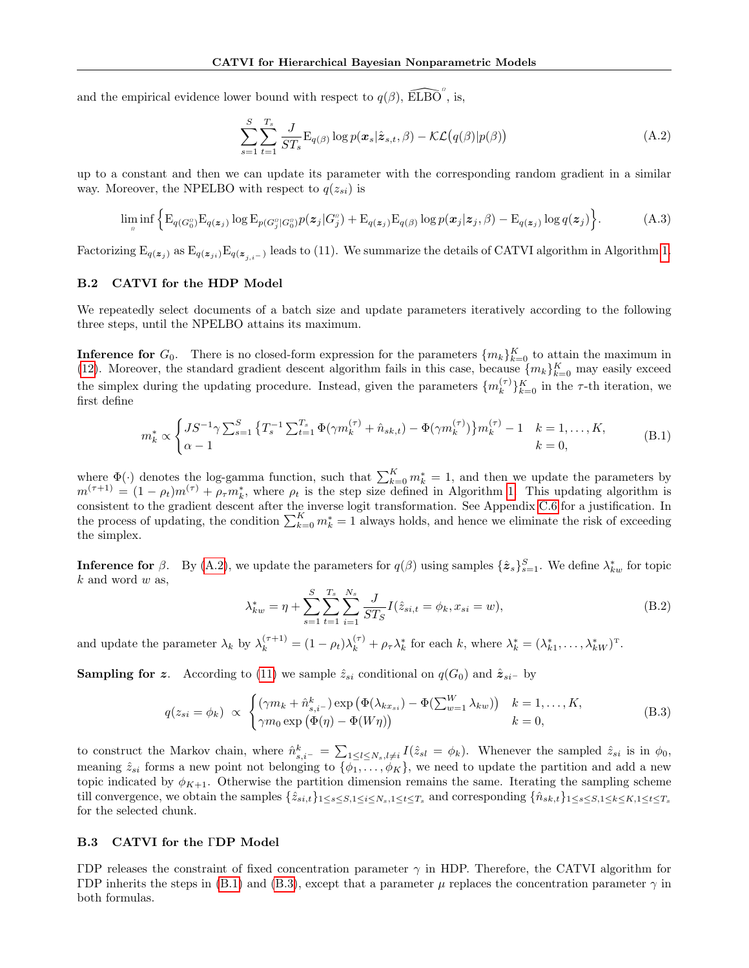and the empirical evidence lower bound with respect to  $q(\beta)$ ,  $\widehat{\mathrm{ELBO}}^n$ , is,

<span id="page-11-2"></span>
$$
\sum_{s=1}^{S} \sum_{t=1}^{T_s} \frac{J}{ST_s} \mathbf{E}_{q(\beta)} \log p(\mathbf{x}_s | \hat{\mathbf{z}}_{s,t}, \beta) - \mathcal{KL}(q(\beta) | p(\beta)) \tag{A.2}
$$

up to a constant and then we can update its parameter with the corresponding random gradient in a similar way. Moreover, the NPELBO with respect to  $q(z_{si})$  is

<span id="page-11-3"></span>
$$
\lim_{\rho} \inf \left\{ \mathcal{E}_{q(G_0^{\rho})} \mathcal{E}_{q(\boldsymbol{z}_j)} \log \mathcal{E}_{p(G_j^{\rho})} G_0^{\rho}) p(\boldsymbol{z}_j | G_j^{\rho}) + \mathcal{E}_{q(\boldsymbol{z}_j)} \mathcal{E}_{q(\boldsymbol{\beta})} \log p(\boldsymbol{x}_j | \boldsymbol{z}_j, \boldsymbol{\beta}) - \mathcal{E}_{q(\boldsymbol{z}_j)} \log q(\boldsymbol{z}_j) \right\}.
$$
 (A.3)

Factorizing  $E_{q(z_j)}$  as  $E_{q(z_{j,i})}E_{q(z_{j,i-})}$  leads to (11). We summarize the details of CATVI algorithm in Algorithm [1.](#page-4-0)

#### B.2 CATVI for the HDP Model

We repeatedly select documents of a batch size and update parameters iteratively according to the following three steps, until the NPELBO attains its maximum.

<span id="page-11-0"></span>**Inference for**  $G_0$ . There is no closed-form expression for the parameters  $\{m_k\}_{k=0}^K$  to attain the maximum in [\(12\)](#page-4-1). Moreover, the standard gradient descent algorithm fails in this case, because  $\{m_k\}_{k=0}^K$  may easily exceed the simplex during the updating procedure. Instead, given the parameters  $\{m_k^{(\tau)}\}$  $\binom{\tau}{k}$ <sub>k=0</sub> in the  $\tau$ -th iteration, we first define

$$
m_k^* \propto \begin{cases} JS^{-1} \gamma \sum_{s=1}^S \left\{ T_s^{-1} \sum_{t=1}^{T_s} \Phi(\gamma m_k^{(\tau)} + \hat{n}_{sk,t}) - \Phi(\gamma m_k^{(\tau)}) \right\} m_k^{(\tau)} - 1 & k = 1, \dots, K, \\ \alpha - 1 & k = 0, \end{cases}
$$
(B.1)

where  $\Phi(\cdot)$  denotes the log-gamma function, such that  $\sum_{k=0}^{K} m_k^* = 1$ , and then we update the parameters by  $m^{(\tau+1)} = (1 - \rho_t) m^{(\tau)} + \rho_{\tau} m_k^*$ , where  $\rho_t$  is the step size defined in Algorithm [1.](#page-4-0) This updating algorithm is consistent to the gradient descent after the inverse logit transformation. See Appendix [C.6](#page-14-0) for a justification. In the process of updating, the condition  $\sum_{k=0}^{K} m_k^* = 1$  always holds, and hence we eliminate the risk of exceeding the simplex.

**Inference for**  $\beta$ . By [\(A.2\)](#page-11-2), we update the parameters for  $q(\beta)$  using samples  $\{\hat{\boldsymbol{z}}_s\}_{s=1}^S$ . We define  $\lambda^*_{kw}$  for topic  $k$  and word  $w$  as,

$$
\lambda_{kw}^* = \eta + \sum_{s=1}^{S} \sum_{t=1}^{T_s} \sum_{i=1}^{N_s} \frac{J}{ST_S} I(\hat{z}_{si,t} = \phi_k, x_{si} = w), \tag{B.2}
$$

and update the parameter  $\lambda_k$  by  $\lambda_k^{(\tau+1)} = (1 - \rho_t)\lambda_k^{(\tau)} + \rho_\tau\lambda_k^*$  for each k, where  $\lambda_k^* = (\lambda_{k1}^*, \dots, \lambda_{kW}^*)^{\text{T}}$ .

**Sampling for z.** According to [\(11\)](#page-3-4) we sample  $\hat{z}_{si}$  conditional on  $q(G_0)$  and  $\hat{z}_{si-}$  by

$$
q(z_{si} = \phi_k) \propto \begin{cases} (\gamma m_k + \hat{n}_{s,i}^k) \exp(\Phi(\lambda_{kx_{si}}) - \Phi(\sum_{w=1}^W \lambda_{kw})) & k = 1, ..., K, \\ \gamma m_0 \exp(\Phi(\eta) - \Phi(W\eta)) & k = 0, \end{cases}
$$
(B.3)

to construct the Markov chain, where  $\hat{n}_{s,i^-}^k = \sum_{1 \leq l \leq N_s, l \neq i} I(\hat{z}_{sl} = \phi_k)$ . Whenever the sampled  $\hat{z}_{si}$  is in  $\phi_0$ , meaning  $\hat{z}_{si}$  forms a new point not belonging to  $\{\phi_1,\ldots,\phi_K\}$ , we need to update the partition and add a new topic indicated by  $\phi_{K+1}$ . Otherwise the partition dimension remains the same. Iterating the sampling scheme till convergence, we obtain the samples  $\{\hat{z}_{si,t}\}_{1\leq s\leq S,1\leq t\leq T_s}$  and corresponding  $\{\hat{n}_{sk,t}\}_{1\leq s\leq S,1\leq k\leq K,1\leq t\leq T_s}$ for the selected chunk.

#### <span id="page-11-1"></span>B.3 CATVI for the ΓDP Model

ΓDP releases the constraint of fixed concentration parameter γ in HDP. Therefore, the CATVI algorithm for ΓDP inherits the steps in [\(B.1\)](#page-10-3) and [\(B.3\)](#page-11-3), except that a parameter  $\mu$  replaces the concentration parameter  $\gamma$  in both formulas.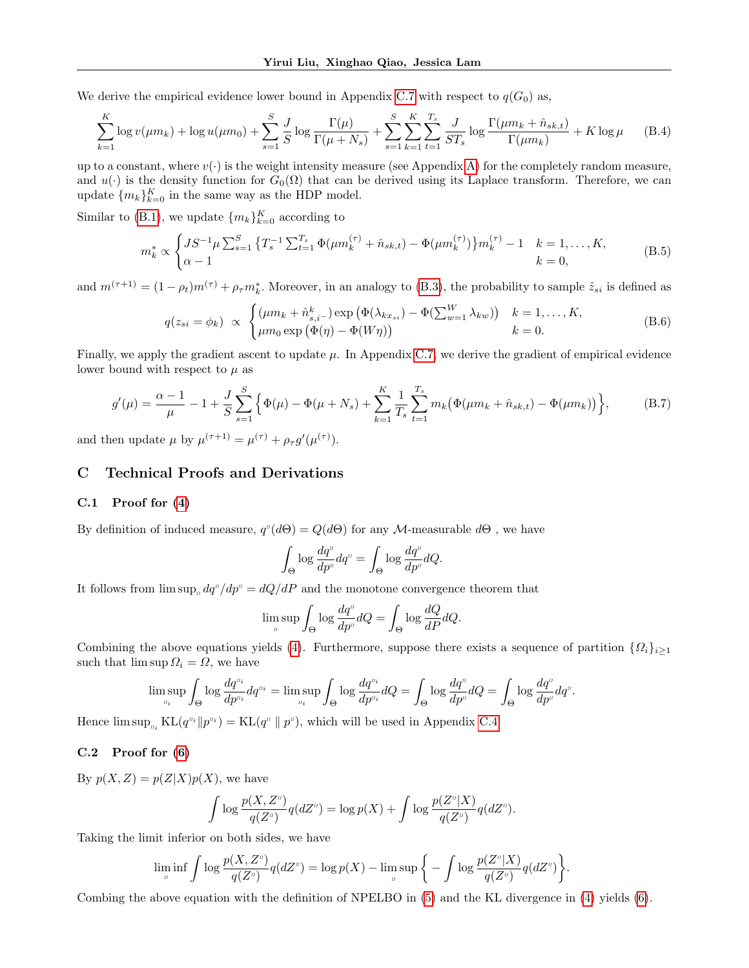We derive the empirical evidence lower bound in Appendix [C.7](#page-14-1) with respect to  $q(G_0)$  as,

<span id="page-12-3"></span>
$$
\sum_{k=1}^{K} \log v(\mu m_k) + \log u(\mu m_0) + \sum_{s=1}^{S} \frac{J}{S} \log \frac{\Gamma(\mu)}{\Gamma(\mu + N_s)} + \sum_{s=1}^{S} \sum_{k=1}^{K} \sum_{t=1}^{T_s} \frac{J}{ST_s} \log \frac{\Gamma(\mu m_k + \hat{n}_{sk,t})}{\Gamma(\mu m_k)} + K \log \mu \tag{B.4}
$$

up to a constant, where  $v(\cdot)$  is the weight intensity measure (see Appendix [A\)](#page-10-0) for the completely random measure, and  $u(\cdot)$  is the density function for  $G_0(\Omega)$  that can be derived using its Laplace transform. Therefore, we can update  $\{m_k\}_{k=0}^K$  in the same way as the HDP model.

Similar to [\(B.1\)](#page-10-3), we update  ${m_k}_{k=0}^K$  according to

$$
m_k^* \propto \begin{cases} JS^{-1} \mu \sum_{s=1}^S \left\{ T_s^{-1} \sum_{t=1}^{T_s} \Phi(\mu m_k^{(\tau)} + \hat{n}_{sk,t}) - \Phi(\mu m_k^{(\tau)}) \right\} m_k^{(\tau)} - 1 & k = 1, \dots, K, \\ \alpha - 1 & k = 0, \end{cases}
$$
 (B.5)

and  $m^{(\tau+1)} = (1 - \rho_t) m^{(\tau)} + \rho_\tau m_k^*$ . Moreover, in an analogy to [\(B.3\)](#page-11-3), the probability to sample  $\hat{z}_{si}$  is defined as

$$
q(z_{si} = \phi_k) \propto \begin{cases} (\mu m_k + \hat{n}_{s,i}^k) \exp(\Phi(\lambda_{kx_{si}}) - \Phi(\sum_{w=1}^W \lambda_{kw})) & k = 1, ..., K, \\ \mu m_0 \exp(\Phi(\eta) - \Phi(W\eta)) & k = 0. \end{cases}
$$
(B.6)

Finally, we apply the gradient ascent to update  $\mu$ . In Appendix [C.7,](#page-14-1) we derive the gradient of empirical evidence lower bound with respect to  $\mu$  as

<span id="page-12-4"></span>
$$
g'(\mu) = \frac{\alpha - 1}{\mu} - 1 + \frac{J}{S} \sum_{s=1}^{S} \left\{ \Phi(\mu) - \Phi(\mu + N_s) + \sum_{k=1}^{K} \frac{1}{T_s} \sum_{t=1}^{T_s} m_k (\Phi(\mu m_k + \hat{n}_{sk,t}) - \Phi(\mu m_k)) \right\},
$$
(B.7)

and then update  $\mu$  by  $\mu^{(\tau+1)} = \mu^{(\tau)} + \rho_{\tau} g'(\mu^{(\tau)})$ .

## <span id="page-12-2"></span>C Technical Proofs and Derivations

### <span id="page-12-0"></span>C.1 Proof for  $(4)$

By definition of induced measure,  $q^a(d\Theta) = Q(d\Theta)$  for any M-measurable  $d\Theta$ , we have

$$
\int_{\Theta}\log\frac{dq^a}{dp^a}dq^a=\int_{\Theta}\log\frac{dq^a}{dp^a}dQ.
$$

It follows from  $\limsup_a dq^a / dp^a = dQ/dP$  and the monotone convergence theorem that

$$
\limsup_{a} \int_{\Theta} \log \frac{dq^{a}}{dp^{a}} dQ = \int_{\Theta} \log \frac{dQ}{dP} dQ.
$$

Combining the above equations yields [\(4\)](#page-2-1). Furthermore, suppose there exists a sequence of partition  $\{\Omega_i\}_{i\geq 1}$ such that  $\limsup \Omega_i = \Omega$ , we have

$$
\limsup_{a_i} \int_{\Theta} \log \frac{dq^{a_i}}{dp^{a_i}} dq^{a_i} = \limsup_{a_i} \int_{\Theta} \log \frac{dq^{a_i}}{dp^{a_i}} dQ = \int_{\Theta} \log \frac{dq^{a}}{dp^{a}} dQ = \int_{\Theta} \log \frac{dq^{a}}{dp^{a}} dq^{a}.
$$

Hence  $\limsup_{n_i} KL(q^{n_i} || p^{n_i}) = KL(q^{n} || p^{n}),$  which will be used in Appendix [C.4.](#page-13-2)

### <span id="page-12-1"></span>C.2 Proof for [\(6\)](#page-2-3)

By  $p(X, Z) = p(Z|X)p(X)$ , we have

$$
\int \log \frac{p(X, Z^a)}{q(Z^a)} q(dZ^a) = \log p(X) + \int \log \frac{p(Z^a|X)}{q(Z^a)} q(dZ^a).
$$

Taking the limit inferior on both sides, we have

$$
\liminf_{n} \int \log \frac{p(X, Z^n)}{q(Z^n)} q(dZ^n) = \log p(X) - \limsup_{n} \left\{ - \int \log \frac{p(Z^n|X)}{q(Z^n)} q(dZ^n) \right\}.
$$

Combing the above equation with the definition of NPELBO in [\(5\)](#page-2-2) and the KL divergence in [\(4\)](#page-2-1) yields [\(6\)](#page-2-3).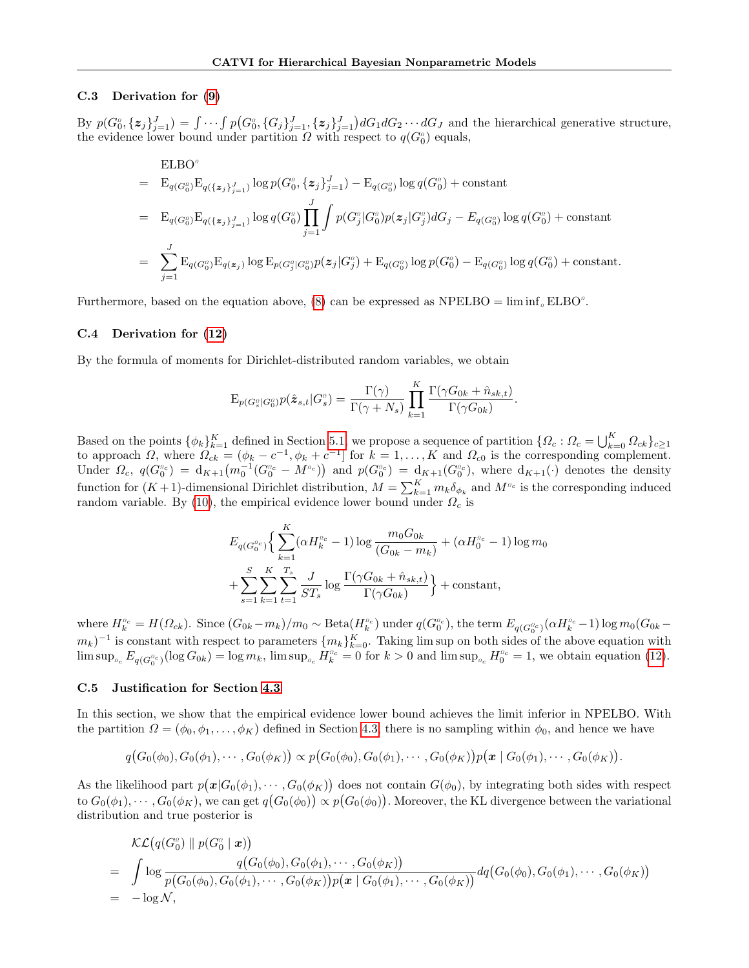#### <span id="page-13-0"></span>C.3 Derivation for [\(9\)](#page-3-2)

By  $p(G_0^a, \{z_j\}_{j=1}^J) = \int \cdots \int p(G_0^a, \{G_j\}_{j=1}^J, \{z_j\}_{j=1}^J) dG_1 dG_2 \cdots dG_J$  and the hierarchical generative structure, the evidence lower bound under partition  $\Omega$  with respect to  $q(G_0^{\circ})$  equals,

$$
\begin{split}\n& \text{ELBO}^a \\
&= \quad E_{q(G_0^a)} E_{q(\{z_j\}_{j=1}^J)} \log p(G_0^a, \{z_j\}_{j=1}^J) - E_{q(G_0^a)} \log q(G_0^a) + \text{constant} \\
&= \quad E_{q(G_0^a)} E_{q(\{z_j\}_{j=1}^J)} \log q(G_0^a) \prod_{j=1}^J \int p(G_j^a | G_0^a) p(z_j | G_j^a) dG_j - E_{q(G_0^a)} \log q(G_0^a) + \text{constant} \\
&= \quad \sum_{j=1}^J E_{q(G_0^a)} E_{q(z_j)} \log E_{p(G_0^a | G_0^a)} p(z_j | G_j^a) + E_{q(G_0^a)} \log p(G_0^a) - E_{q(G_0^a)} \log q(G_0^a) + \text{constant}.\n\end{split}
$$

Furthermore, based on the equation above, [\(8\)](#page-3-1) can be expressed as  $NPELBO = \liminf_{n \to \infty} E LBO^{n}$ .

#### <span id="page-13-2"></span>C.4 Derivation for [\(12\)](#page-4-1)

By the formula of moments for Dirichlet-distributed random variables, we obtain

$$
\mathrm{E}_{p(G_s^{\scriptscriptstyle\Omega}|G_0^{\scriptscriptstyle\Omega})}p(\hat{\boldsymbol{z}}_{s,t}|G_s^{\scriptscriptstyle\Omega})=\frac{\Gamma(\gamma)}{\Gamma(\gamma+N_s)}\prod_{k=1}^K\frac{\Gamma(\gamma G_{0k}+\hat{n}_{sk,t})}{\Gamma(\gamma G_{0k})}.
$$

Based on the points  $\{\phi_k\}_{k=1}^K$  defined in Section [5.1,](#page-4-2) we propose a sequence of partition  $\{Q_c: Q_c = \bigcup_{k=0}^K Q_{ck}\}_{c\geq 1}$ to approach  $\Omega$ , where  $\Omega_{ck} = (\phi_k - c^{-1}, \phi_k + c^{-1}]$  for  $k = 1, ..., K$  and  $\Omega_{c0}$  is the corresponding complement. Under  $\Omega_c$ ,  $q(G_0^{a_c}) = d_{K+1}(m_0^{-1}(G_0^{a_c} - M^{a_c}))$  and  $p(G_0^{a_c}) = d_{K+1}(G_0^{a_c})$ , where  $d_{K+1}(\cdot)$  denotes the density function for  $(K+1)$ -dimensional Dirichlet distribution,  $M = \sum_{k=1}^{K} m_k \delta_{\phi_k}$  and  $M^{\rho_c}$  is the corresponding induced random variable. By [\(10\)](#page-3-3), the empirical evidence lower bound under  $\Omega_c$  is

$$
E_{q(G_0^{a_c})}\Big\{\sum_{k=1}^K(\alpha H_k^{a_c}-1)\log\frac{m_0G_{0k}}{(G_{0k}-m_k)}+(\alpha H_0^{a_c}-1)\log m_0 + \sum_{s=1}^S\sum_{k=1}^K\sum_{t=1}^{T_s}\frac{J}{ST_s}\log\frac{\Gamma(\gamma G_{0k}+\hat{n}_{sk,t})}{\Gamma(\gamma G_{0k})}\Big\} + \text{constant},
$$

where  $H_k^{a_c} = H(\Omega_{ck})$ . Since  $(G_{0k}-m_k)/m_0 \sim \text{Beta}(H_k^{a_c})$  under  $q(G_0^{a_c})$ , the term  $E_{q(G_0^{a_c})}(\alpha H_k^{a_c}-1) \log m_0(G_{0k}-1)$  $(m_k)^{-1}$  is constant with respect to parameters  $\{m_k\}_{k=0}^K$ . Taking lim sup on both sides of the above equation with  $\limsup_{a_c} E_{q(G_0^{a_c})}(\log G_{0k}) = \log m_k$ ,  $\limsup_{a_c} H_k^{a_c} = 0$  for  $k > 0$  and  $\limsup_{a_c} H_0^{a_c} = 1$ , we obtain equation [\(12\)](#page-4-1).

#### <span id="page-13-1"></span>C.5 Justification for Section [4.3](#page-4-3)

In this section, we show that the empirical evidence lower bound achieves the limit inferior in NPELBO. With the partition  $\Omega = (\phi_0, \phi_1, \dots, \phi_K)$  defined in Section [4.3,](#page-4-3) there is no sampling within  $\phi_0$ , and hence we have

$$
q(G_0(\phi_0), G_0(\phi_1), \cdots, G_0(\phi_K)) \propto p(G_0(\phi_0), G_0(\phi_1), \cdots, G_0(\phi_K))p(\mathbf{x} \mid G_0(\phi_1), \cdots, G_0(\phi_K)).
$$

As the likelihood part  $p(x|G_0(\phi_1), \cdots, G_0(\phi_K))$  does not contain  $G(\phi_0)$ , by integrating both sides with respect to  $G_0(\phi_1),\cdots,G_0(\phi_K),$  we can get  $q\big(G_0(\phi_0)\big)\propto p\big(G_0(\phi_0)\big).$  Moreover, the KL divergence between the variational distribution and true posterior is

$$
\mathcal{KL}(q(G_0^a) \parallel p(G_0^a \mid \bm{x})) \\
= \int \log \frac{q(G_0(\phi_0), G_0(\phi_1), \cdots, G_0(\phi_K))}{p(G_0(\phi_0), G_0(\phi_1), \cdots, G_0(\phi_K))p(\bm{x} \mid G_0(\phi_1), \cdots, G_0(\phi_K))} dq(G_0(\phi_0), G_0(\phi_1), \cdots, G_0(\phi_K)) \\
= -\log \mathcal{N},
$$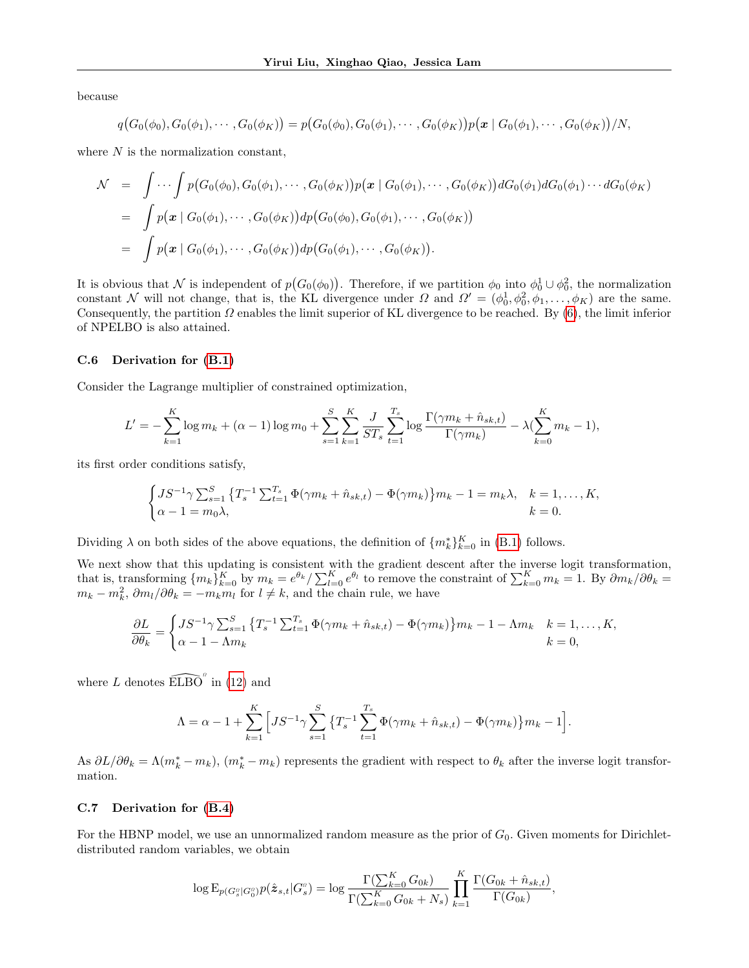because

$$
q(G_0(\phi_0), G_0(\phi_1), \cdots, G_0(\phi_K)) = p(G_0(\phi_0), G_0(\phi_1), \cdots, G_0(\phi_K))p(\boldsymbol{x} \mid G_0(\phi_1), \cdots, G_0(\phi_K))/N,
$$

where  $N$  is the normalization constant,

$$
\mathcal{N} = \int \cdots \int p(G_0(\phi_0), G_0(\phi_1), \cdots, G_0(\phi_K)) p(\mathbf{x} | G_0(\phi_1), \cdots, G_0(\phi_K)) dG_0(\phi_1) dG_0(\phi_1) \cdots dG_0(\phi_K)
$$
  
\n
$$
= \int p(\mathbf{x} | G_0(\phi_1), \cdots, G_0(\phi_K)) dp(G_0(\phi_0), G_0(\phi_1), \cdots, G_0(\phi_K))
$$
  
\n
$$
= \int p(\mathbf{x} | G_0(\phi_1), \cdots, G_0(\phi_K)) dp(G_0(\phi_1), \cdots, G_0(\phi_K)).
$$

It is obvious that N is independent of  $p(G_0(\phi_0))$ . Therefore, if we partition  $\phi_0$  into  $\phi_0^1 \cup \phi_0^2$ , the normalization constant N will not change, that is, the KL divergence under  $\Omega$  and  $\Omega' = (\phi_0^1, \phi_0^2, \phi_1, \dots, \phi_K)$  are the same. Consequently, the partition  $\Omega$  enables the limit superior of KL divergence to be reached. By [\(6\)](#page-2-3), the limit inferior of NPELBO is also attained.

#### <span id="page-14-0"></span>C.6 Derivation for [\(B.1\)](#page-10-3)

Consider the Lagrange multiplier of constrained optimization,

$$
L' = -\sum_{k=1}^{K} \log m_k + (\alpha - 1) \log m_0 + \sum_{s=1}^{S} \sum_{k=1}^{K} \frac{J}{ST_s} \sum_{t=1}^{T_s} \log \frac{\Gamma(\gamma m_k + \hat{n}_{sk,t})}{\Gamma(\gamma m_k)} - \lambda (\sum_{k=0}^{K} m_k - 1),
$$

its first order conditions satisfy,

$$
\begin{cases} JS^{-1}\gamma \sum_{s=1}^{S} \{T_s^{-1} \sum_{t=1}^{T_s} \Phi(\gamma m_k + \hat{n}_{sk,t}) - \Phi(\gamma m_k)\} m_k - 1 = m_k \lambda, & k = 1, ..., K, \\ \alpha - 1 = m_0 \lambda, & k = 0. \end{cases}
$$

Dividing  $\lambda$  on both sides of the above equations, the definition of  $\{m_k^*\}_{k=0}^K$  in [\(B.1\)](#page-10-3) follows.

We next show that this updating is consistent with the gradient descent after the inverse logit transformation, that is, transforming  ${m_k}_{k=0}^K$  by  $m_k = e^{\theta_k}/\sum_{l=0}^K e^{\theta_l}$  to remove the constraint of  $\sum_{k=0}^K m_k = 1$ . By  $\partial m_k/\partial \theta_k =$  $m_k - m_k^2$ ,  $\partial m_l / \partial \theta_k = -m_k m_l$  for  $l \neq k$ , and the chain rule, we have

$$
\frac{\partial L}{\partial \theta_k} = \begin{cases} JS^{-1} \gamma \sum_{s=1}^S \left\{ T_s^{-1} \sum_{t=1}^{T_s} \Phi(\gamma m_k + \hat{n}_{sk,t}) - \Phi(\gamma m_k) \right\} m_k - 1 - \Lambda m_k & k = 1, \dots, K, \\ \alpha - 1 - \Lambda m_k & k = 0, \end{cases}
$$

where L denotes  $\widehat{\mathrm{ELBO}}^a$  in [\(12\)](#page-4-1) and

$$
\Lambda = \alpha - 1 + \sum_{k=1}^{K} \Big[ JS^{-1} \gamma \sum_{s=1}^{S} \{ T_s^{-1} \sum_{t=1}^{T_s} \Phi(\gamma m_k + \hat{n}_{sk,t}) - \Phi(\gamma m_k) \} m_k - 1 \Big].
$$

As  $\partial L/\partial \theta_k = \Lambda(m_k^* - m_k)$ ,  $(m_k^* - m_k)$  represents the gradient with respect to  $\theta_k$  after the inverse logit transformation.

#### <span id="page-14-1"></span>C.7 Derivation for [\(B.4\)](#page-12-3)

For the HBNP model, we use an unnormalized random measure as the prior of  $G_0$ . Given moments for Dirichletdistributed random variables, we obtain

$$
\log \mathrm{E}_{p(G_s^o|G_0^o)} p(\hat{\bm{z}}_{s,t}|G_s^o) = \log \frac{\Gamma(\sum_{k=0}^{K} G_{0k})}{\Gamma(\sum_{k=0}^{K} G_{0k} + N_s)} \prod_{k=1}^{K} \frac{\Gamma(G_{0k} + \hat{n}_{sk,t})}{\Gamma(G_{0k})},
$$